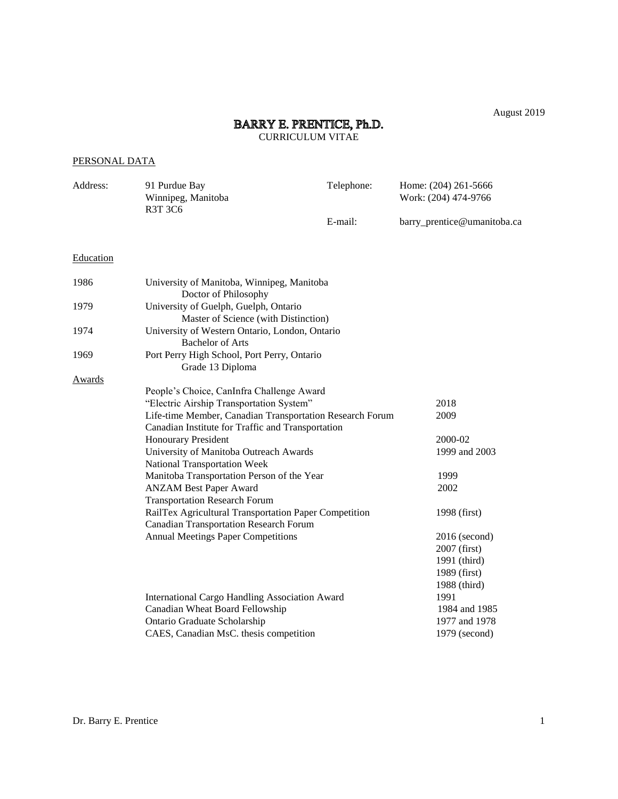August 2019

# BARRY E. PRENTICE, Ph.D.<br>CURRICULUM VITAE

# PERSONAL DATA

| Address:  | 91 Purdue Bay<br>Winnipeg, Manitoba<br>R3T 3C6                                | Telephone: | Home: (204) 261-5666<br>Work: (204) 474-9766 |  |
|-----------|-------------------------------------------------------------------------------|------------|----------------------------------------------|--|
|           |                                                                               | E-mail:    | barry_prentice@umanitoba.ca                  |  |
| Education |                                                                               |            |                                              |  |
| 1986      | University of Manitoba, Winnipeg, Manitoba<br>Doctor of Philosophy            |            |                                              |  |
| 1979      | University of Guelph, Guelph, Ontario<br>Master of Science (with Distinction) |            |                                              |  |
| 1974      | University of Western Ontario, London, Ontario<br><b>Bachelor of Arts</b>     |            |                                              |  |
| 1969      | Port Perry High School, Port Perry, Ontario<br>Grade 13 Diploma               |            |                                              |  |
| Awards    |                                                                               |            |                                              |  |
|           | People's Choice, CanInfra Challenge Award                                     |            |                                              |  |
|           | "Electric Airship Transportation System"                                      |            | 2018                                         |  |
|           | Life-time Member, Canadian Transportation Research Forum                      |            | 2009                                         |  |
|           | Canadian Institute for Traffic and Transportation                             |            |                                              |  |
|           | <b>Honourary President</b>                                                    |            | 2000-02                                      |  |
|           | University of Manitoba Outreach Awards                                        |            | 1999 and 2003                                |  |
|           | <b>National Transportation Week</b>                                           |            |                                              |  |
|           | Manitoba Transportation Person of the Year                                    |            | 1999                                         |  |
|           | <b>ANZAM Best Paper Award</b>                                                 |            | 2002                                         |  |
|           | <b>Transportation Research Forum</b>                                          |            |                                              |  |
|           | RailTex Agricultural Transportation Paper Competition                         |            | 1998 (first)                                 |  |
|           | <b>Canadian Transportation Research Forum</b>                                 |            |                                              |  |
|           | <b>Annual Meetings Paper Competitions</b>                                     |            | 2016 (second)                                |  |
|           |                                                                               |            | 2007 (first)                                 |  |
|           |                                                                               |            | 1991 (third)                                 |  |
|           |                                                                               |            | 1989 (first)                                 |  |
|           |                                                                               |            | 1988 (third)                                 |  |
|           | International Cargo Handling Association Award                                |            | 1991                                         |  |
|           | Canadian Wheat Board Fellowship                                               |            | 1984 and 1985                                |  |
|           | Ontario Graduate Scholarship                                                  |            | 1977 and 1978                                |  |
|           | CAES, Canadian MsC. thesis competition                                        |            | 1979 (second)                                |  |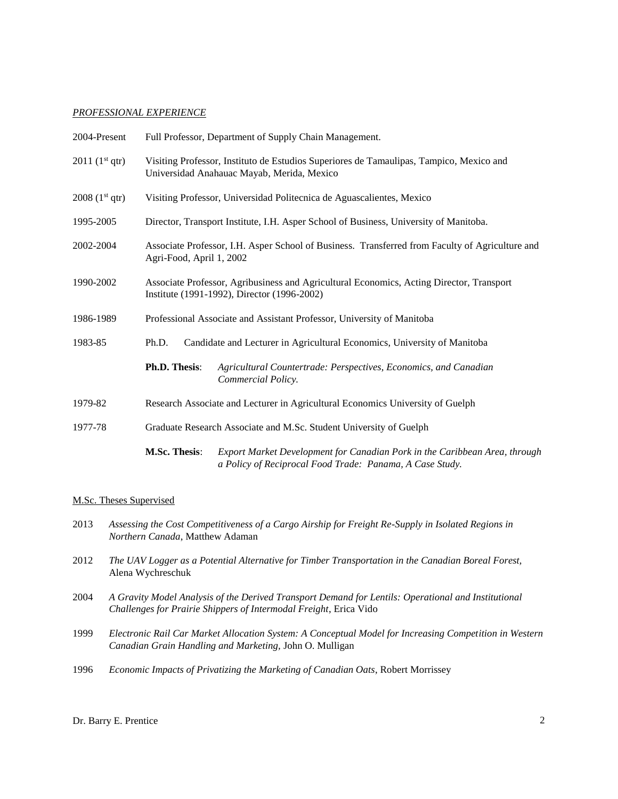# *PROFESSIONAL EXPERIENCE*

| 2004-Present               | Full Professor, Department of Supply Chain Management.                                                                                  |                                                                                                                                        |  |
|----------------------------|-----------------------------------------------------------------------------------------------------------------------------------------|----------------------------------------------------------------------------------------------------------------------------------------|--|
| 2011 (1 <sup>st</sup> qtr) | Visiting Professor, Instituto de Estudios Superiores de Tamaulipas, Tampico, Mexico and<br>Universidad Anahauac Mayab, Merida, Mexico   |                                                                                                                                        |  |
| 2008 (1 <sup>st</sup> qtr) | Visiting Professor, Universidad Politecnica de Aguascalientes, Mexico                                                                   |                                                                                                                                        |  |
| 1995-2005                  | Director, Transport Institute, I.H. Asper School of Business, University of Manitoba.                                                   |                                                                                                                                        |  |
| 2002-2004                  | Associate Professor, I.H. Asper School of Business. Transferred from Faculty of Agriculture and<br>Agri-Food, April 1, 2002             |                                                                                                                                        |  |
| 1990-2002                  | Associate Professor, Agribusiness and Agricultural Economics, Acting Director, Transport<br>Institute (1991-1992), Director (1996-2002) |                                                                                                                                        |  |
| 1986-1989                  | Professional Associate and Assistant Professor, University of Manitoba                                                                  |                                                                                                                                        |  |
| 1983-85                    | Candidate and Lecturer in Agricultural Economics, University of Manitoba<br>Ph.D.                                                       |                                                                                                                                        |  |
|                            | Ph.D. Thesis:                                                                                                                           | Agricultural Countertrade: Perspectives, Economics, and Canadian<br>Commercial Policy.                                                 |  |
| 1979-82                    | Research Associate and Lecturer in Agricultural Economics University of Guelph                                                          |                                                                                                                                        |  |
| 1977-78                    | Graduate Research Associate and M.Sc. Student University of Guelph                                                                      |                                                                                                                                        |  |
|                            | M.Sc. Thesis:                                                                                                                           | Export Market Development for Canadian Pork in the Caribbean Area, through<br>a Policy of Reciprocal Food Trade: Panama, A Case Study. |  |

# M.Sc. Theses Supervised

| 2013 | Assessing the Cost Competitiveness of a Cargo Airship for Freight Re-Supply in Isolated Regions in<br>Northern Canada, Matthew Adaman                                    |
|------|--------------------------------------------------------------------------------------------------------------------------------------------------------------------------|
| 2012 | The UAV Logger as a Potential Alternative for Timber Transportation in the Canadian Boreal Forest,<br>Alena Wychreschuk                                                  |
| 2004 | A Gravity Model Analysis of the Derived Transport Demand for Lentils: Operational and Institutional<br>Challenges for Prairie Shippers of Intermodal Freight, Erica Vido |
| 1999 | Electronic Rail Car Market Allocation System: A Conceptual Model for Increasing Competition in Western<br>Canadian Grain Handling and Marketing, John O. Mulligan        |
| 1996 | <i>Economic Impacts of Privatizing the Marketing of Canadian Oats, Robert Morrissey</i>                                                                                  |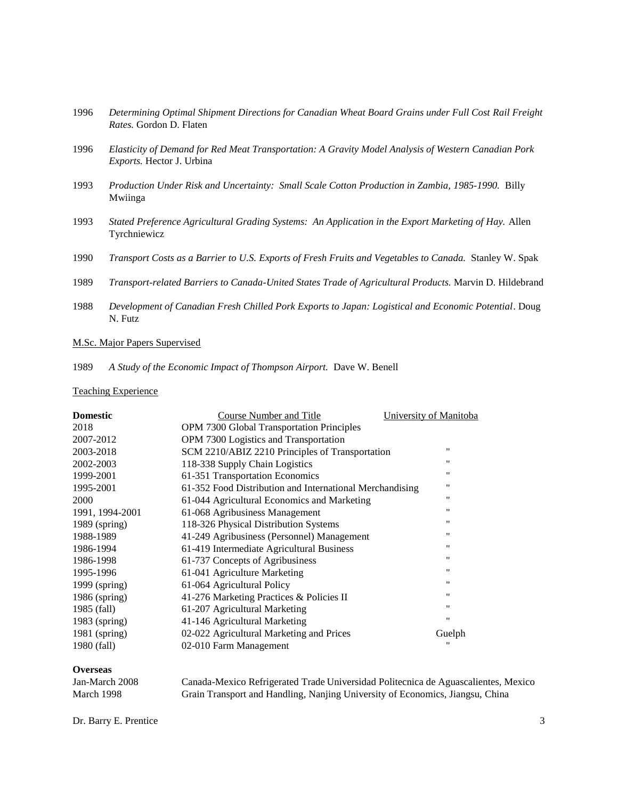- 1996 *Determining Optimal Shipment Directions for Canadian Wheat Board Grains under Full Cost Rail Freight Rates.* Gordon D. Flaten
- 1996 *Elasticity of Demand for Red Meat Transportation: A Gravity Model Analysis of Western Canadian Pork Exports.* Hector J. Urbina
- 1993 *Production Under Risk and Uncertainty: Small Scale Cotton Production in Zambia, 1985-1990.* Billy Mwiinga
- 1993 *Stated Preference Agricultural Grading Systems: An Application in the Export Marketing of Hay.* Allen Tyrchniewicz
- 1990 *Transport Costs as a Barrier to U.S. Exports of Fresh Fruits and Vegetables to Canada.* Stanley W. Spak
- 1989 *Transport-related Barriers to Canada-United States Trade of Agricultural Products.* Marvin D. Hildebrand
- 1988 *Development of Canadian Fresh Chilled Pork Exports to Japan: Logistical and Economic Potential*. Doug N. Futz

# M.Sc. Major Papers Supervised

1989 *A Study of the Economic Impact of Thompson Airport.* Dave W. Benell

## Teaching Experience

| <b>Domestic</b> | Course Number and Title                                  | University of Manitoba |
|-----------------|----------------------------------------------------------|------------------------|
| 2018            | <b>OPM</b> 7300 Global Transportation Principles         |                        |
| 2007-2012       | OPM 7300 Logistics and Transportation                    |                        |
| 2003-2018       | SCM 2210/ABIZ 2210 Principles of Transportation          | $^{\prime\prime}$      |
| 2002-2003       | 118-338 Supply Chain Logistics                           | "                      |
| 1999-2001       | 61-351 Transportation Economics                          | "                      |
| 1995-2001       | 61-352 Food Distribution and International Merchandising | "                      |
| 2000            | 61-044 Agricultural Economics and Marketing              | "                      |
| 1991, 1994-2001 | 61-068 Agribusiness Management                           | $^{\prime\prime}$      |
| $1989$ (spring) | 118-326 Physical Distribution Systems                    | $^{\prime\prime}$      |
| 1988-1989       | 41-249 Agribusiness (Personnel) Management               | $^{\prime\prime}$      |
| 1986-1994       | 61-419 Intermediate Agricultural Business                | "                      |
| 1986-1998       | 61-737 Concepts of Agribusiness                          | $^{\prime\prime}$      |
| 1995-1996       | 61-041 Agriculture Marketing                             | $^{\prime\prime}$      |
| 1999 (spring)   | 61-064 Agricultural Policy                               | $^{\prime\prime}$      |
| $1986$ (spring) | 41-276 Marketing Practices & Policies II                 | "                      |
| 1985 (fall)     | 61-207 Agricultural Marketing                            | "                      |
| $1983$ (spring) | 41-146 Agricultural Marketing                            | $^{\prime\prime}$      |
| $1981$ (spring) | 02-022 Agricultural Marketing and Prices                 | Guelph                 |
| 1980 (fall)     | 02-010 Farm Management                                   | "                      |

#### **Overseas**

| Jan-March 2008 | Canada-Mexico Refrigerated Trade Universidad Politecnica de Aguascalientes, Mexico |
|----------------|------------------------------------------------------------------------------------|
| March 1998     | Grain Transport and Handling, Nanjing University of Economics, Jiangsu, China      |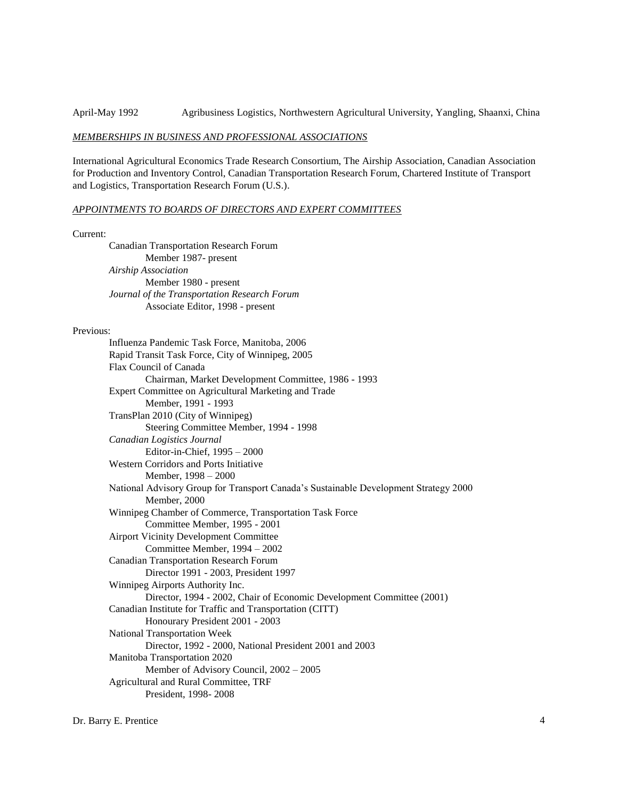April-May 1992 Agribusiness Logistics, Northwestern Agricultural University, Yangling, Shaanxi, China

#### *MEMBERSHIPS IN BUSINESS AND PROFESSIONAL ASSOCIATIONS*

International Agricultural Economics Trade Research Consortium, The Airship Association, Canadian Association for Production and Inventory Control, Canadian Transportation Research Forum, Chartered Institute of Transport and Logistics, Transportation Research Forum (U.S.).

# *APPOINTMENTS TO BOARDS OF DIRECTORS AND EXPERT COMMITTEES*

#### Current:

Canadian Transportation Research Forum Member 1987- present *Airship Association* Member 1980 - present *Journal of the Transportation Research Forum* Associate Editor, 1998 - present

# Previous:

Influenza Pandemic Task Force, Manitoba, 2006 Rapid Transit Task Force, City of Winnipeg, 2005 Flax Council of Canada Chairman, Market Development Committee, 1986 - 1993 Expert Committee on Agricultural Marketing and Trade Member, 1991 - 1993 TransPlan 2010 (City of Winnipeg) Steering Committee Member, 1994 - 1998 *Canadian Logistics Journal* Editor-in-Chief, 1995 – 2000 Western Corridors and Ports Initiative Member, 1998 – 2000 National Advisory Group for Transport Canada's Sustainable Development Strategy 2000 Member, 2000 Winnipeg Chamber of Commerce, Transportation Task Force Committee Member, 1995 - 2001 Airport Vicinity Development Committee Committee Member, 1994 – 2002 Canadian Transportation Research Forum Director 1991 - 2003, President 1997 Winnipeg Airports Authority Inc. Director, 1994 - 2002, Chair of Economic Development Committee (2001) Canadian Institute for Traffic and Transportation (CITT) Honourary President 2001 - 2003 National Transportation Week Director, 1992 - 2000, National President 2001 and 2003 Manitoba Transportation 2020 Member of Advisory Council, 2002 – 2005 Agricultural and Rural Committee, TRF President, 1998- 2008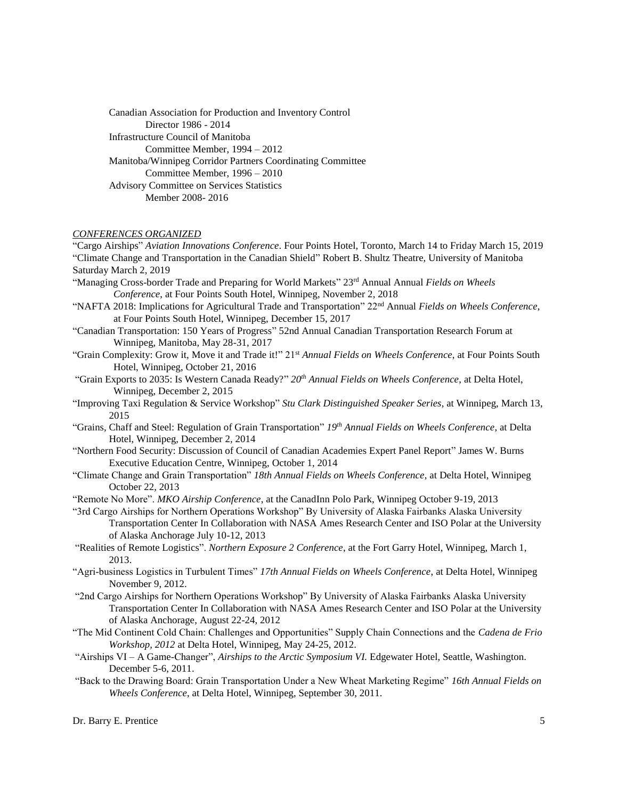Canadian Association for Production and Inventory Control Director 1986 - 2014 Infrastructure Council of Manitoba Committee Member, 1994 – 2012 Manitoba/Winnipeg Corridor Partners Coordinating Committee Committee Member, 1996 – 2010 Advisory Committee on Services Statistics Member 2008- 2016

# *CONFERENCES ORGANIZED*

"Cargo Airships" *Aviation Innovations Conference*. Four Points Hotel, Toronto, March 14 to Friday March 15, 2019 "Climate Change and Transportation in the Canadian Shield" Robert B. Shultz Theatre, University of Manitoba Saturday March 2, 2019

- "Managing Cross-border Trade and Preparing for World Markets" 23rd Annual Annual *Fields on Wheels Conference*, at Four Points South Hotel, Winnipeg, November 2, 2018
- "NAFTA 2018: Implications for Agricultural Trade and Transportation" 22nd Annual *Fields on Wheels Conference*, at Four Points South Hotel, Winnipeg, December 15, 2017
- "Canadian Transportation: 150 Years of Progress" 52nd Annual Canadian Transportation Research Forum at Winnipeg, Manitoba, May 28-31, 2017
- "Grain Complexity: Grow it, Move it and Trade it!" 21st *Annual Fields on Wheels Conference*, at Four Points South Hotel, Winnipeg, October 21, 2016
- "Grain Exports to 2035: Is Western Canada Ready?" *20th Annual Fields on Wheels Conference*, at Delta Hotel, Winnipeg, December 2, 2015
- "Improving Taxi Regulation & Service Workshop" *Stu Clark Distinguished Speaker Series*, at Winnipeg, March 13, 2015
- "Grains, Chaff and Steel: Regulation of Grain Transportation" *19th Annual Fields on Wheels Conference*, at Delta Hotel, Winnipeg, December 2, 2014
- "Northern Food Security: Discussion of Council of Canadian Academies Expert Panel Report" James W. Burns Executive Education Centre, Winnipeg, October 1, 2014
- "Climate Change and Grain Transportation" *18th Annual Fields on Wheels Conference*, at Delta Hotel, Winnipeg October 22, 2013
- "Remote No More". *MKO Airship Conference*, at the CanadInn Polo Park, Winnipeg October 9-19, 2013

"3rd Cargo Airships for Northern Operations Workshop" By University of Alaska Fairbanks Alaska University Transportation Center In Collaboration with NASA Ames Research Center and ISO Polar at the University of Alaska Anchorage July 10-12, 2013

- "Realities of Remote Logistics". *Northern Exposure 2 Conference*, at the Fort Garry Hotel, Winnipeg, March 1, 2013.
- "Agri-business Logistics in Turbulent Times" *17th Annual Fields on Wheels Conference*, at Delta Hotel, Winnipeg November 9, 2012.
- "2nd Cargo Airships for Northern Operations Workshop" By University of Alaska Fairbanks Alaska University Transportation Center In Collaboration with NASA Ames Research Center and ISO Polar at the University of Alaska Anchorage, August 22-24, 2012
- "The Mid Continent Cold Chain: Challenges and Opportunities" Supply Chain Connections and the *Cadena de Frio Workshop, 2012* at Delta Hotel, Winnipeg, May 24-25, 2012.
- "Airships VI A Game-Changer", *Airships to the Arctic Symposium VI.* Edgewater Hotel, Seattle, Washington. December 5-6, 2011.
- "Back to the Drawing Board: Grain Transportation Under a New Wheat Marketing Regime" *16th Annual Fields on Wheels Conference*, at Delta Hotel, Winnipeg, September 30, 2011.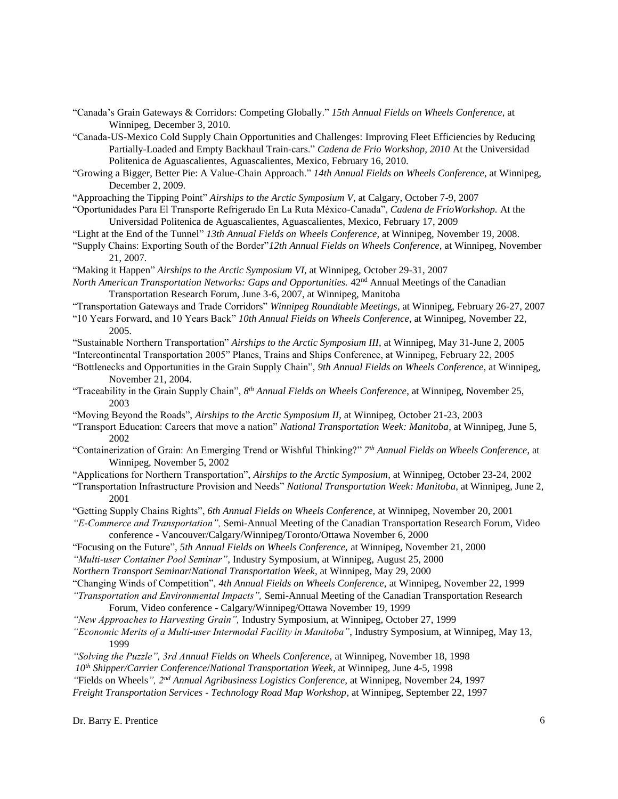- "Canada's Grain Gateways & Corridors: Competing Globally." *15th Annual Fields on Wheels Conference*, at Winnipeg, December 3, 2010*.*
- "Canada-US-Mexico Cold Supply Chain Opportunities and Challenges: Improving Fleet Efficiencies by Reducing Partially-Loaded and Empty Backhaul Train-cars." *Cadena de Frio Workshop, 2010* At the Universidad Politenica de Aguascalientes, Aguascalientes, Mexico, February 16, 2010.
- "Growing a Bigger, Better Pie: A Value-Chain Approach." *14th Annual Fields on Wheels Conference*, at Winnipeg, December 2, 2009*.*
- "Approaching the Tipping Point" *Airships to the Arctic Symposium V*, at Calgary, October 7-9, 2007
- "Oportunidades Para El Transporte Refrigerado En La Ruta México-Canada", *Cadena de FrioWorkshop.* At the Universidad Politenica de Aguascalientes, Aguascalientes, Mexico, February 17, 2009
- "Light at the End of the Tunnel" *13th Annual Fields on Wheels Conference*, at Winnipeg, November 19, 2008*.*
- "Supply Chains: Exporting South of the Border"*12th Annual Fields on Wheels Conference*, at Winnipeg, November 21, 2007*.*
- "Making it Happen" *Airships to the Arctic Symposium VI*, at Winnipeg, October 29-31, 2007
- *North American Transportation Networks: Gaps and Opportunities.* 42<sup>nd</sup> Annual Meetings of the Canadian Transportation Research Forum, June 3-6, 2007, at Winnipeg, Manitoba
- "Transportation Gateways and Trade Corridors" *Winnipeg Roundtable Meetings*, at Winnipeg, February 26-27, 2007
- "10 Years Forward, and 10 Years Back" *10th Annual Fields on Wheels Conference*, at Winnipeg, November 22, 2005*.*
- "Sustainable Northern Transportation" *Airships to the Arctic Symposium III*, at Winnipeg, May 31-June 2, 2005
- "Intercontinental Transportation 2005" Planes, Trains and Ships Conference, at Winnipeg, February 22, 2005
- "Bottlenecks and Opportunities in the Grain Supply Chain", *9th Annual Fields on Wheels Conference*, at Winnipeg, November 21, 2004*.*
- "Traceability in the Grain Supply Chain", *8 th Annual Fields on Wheels Conference*, at Winnipeg, November 25, 2003
- "Moving Beyond the Roads", *Airships to the Arctic Symposium II*, at Winnipeg, October 21-23, 2003
- "Transport Education: Careers that move a nation" *National Transportation Week: Manitoba*, at Winnipeg, June 5, 2002
- "Containerization of Grain: An Emerging Trend or Wishful Thinking?" *7 th Annual Fields on Wheels Conference*, at Winnipeg, November 5, 2002
- "Applications for Northern Transportation", *Airships to the Arctic Symposium*, at Winnipeg, October 23-24, 2002
- "Transportation Infrastructure Provision and Needs" *National Transportation Week: Manitoba*, at Winnipeg, June 2, 2001
- "Getting Supply Chains Rights", *6th Annual Fields on Wheels Conference,* at Winnipeg, November 20, 2001
- *"E-Commerce and Transportation",* Semi-Annual Meeting of the Canadian Transportation Research Forum, Video conference - Vancouver/Calgary/Winnipeg/Toronto/Ottawa November 6, 2000
- "Focusing on the Future"*, 5th Annual Fields on Wheels Conference,* at Winnipeg, November 21, 2000
- *"Multi-user Container Pool Seminar"*, Industry Symposium, at Winnipeg, August 25, 2000
- *Northern Transport Seminar*/*National Transportation Week*, at Winnipeg, May 29, 2000
- "Changing Winds of Competition", *4th Annual Fields on Wheels Conference,* at Winnipeg, November 22, 1999

*"Transportation and Environmental Impacts",* Semi-Annual Meeting of the Canadian Transportation Research Forum, Video conference - Calgary/Winnipeg/Ottawa November 19, 1999

- *"New Approaches to Harvesting Grain",* Industry Symposium, at Winnipeg, October 27, 1999
- *"Economic Merits of a Multi-user Intermodal Facility in Manitoba"*, Industry Symposium, at Winnipeg, May 13, 1999
- *"Solving the Puzzle", 3rd Annual Fields on Wheels Conference,* at Winnipeg, November 18, 1998
- *10th Shipper/Carrier Conference*/*National Transportation Week*, at Winnipeg, June 4-5, 1998

*"*Fields on Wheels*", 2nd Annual Agribusiness Logistics Conference,* at Winnipeg, November 24, 1997

*Freight Transportation Services - Technology Road Map Workshop*, at Winnipeg, September 22, 1997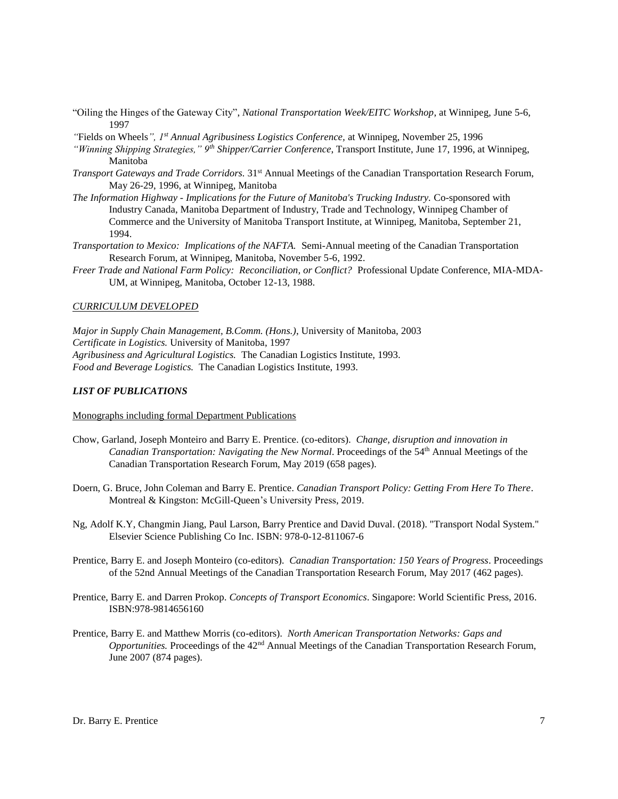- "Oiling the Hinges of the Gateway City", *National Transportation Week/EITC Workshop*, at Winnipeg, June 5-6, 1997
- *"*Fields on Wheels*", 1st Annual Agribusiness Logistics Conference,* at Winnipeg, November 25, 1996
- *"Winning Shipping Strategies," 9th Shipper/Carrier Conference*, Transport Institute, June 17, 1996, at Winnipeg, Manitoba
- *Transport Gateways and Trade Corridors.* 31st Annual Meetings of the Canadian Transportation Research Forum, May 26-29, 1996, at Winnipeg, Manitoba
- *The Information Highway - Implications for the Future of Manitoba's Trucking Industry.* Co-sponsored with Industry Canada, Manitoba Department of Industry, Trade and Technology, Winnipeg Chamber of Commerce and the University of Manitoba Transport Institute, at Winnipeg, Manitoba, September 21, 1994.
- *Transportation to Mexico: Implications of the NAFTA.* Semi-Annual meeting of the Canadian Transportation Research Forum, at Winnipeg, Manitoba, November 5-6, 1992.
- *Freer Trade and National Farm Policy: Reconciliation, or Conflict?* Professional Update Conference, MIA-MDA-UM, at Winnipeg, Manitoba, October 12-13, 1988.

# *CURRICULUM DEVELOPED*

*Major in Supply Chain Management, B.Comm. (Hons.)*, University of Manitoba, 2003 *Certificate in Logistics.* University of Manitoba, 1997 *Agribusiness and Agricultural Logistics.* The Canadian Logistics Institute, 1993. *Food and Beverage Logistics.* The Canadian Logistics Institute, 1993.

# *LIST OF PUBLICATIONS*

Monographs including formal Department Publications

- Chow, Garland, Joseph Monteiro and Barry E. Prentice. (co-editors). *Change, disruption and innovation in Canadian Transportation: Navigating the New Normal*. Proceedings of the 54 th Annual Meetings of the Canadian Transportation Research Forum, May 2019 (658 pages).
- Doern, G. Bruce, John Coleman and Barry E. Prentice. *Canadian Transport Policy: Getting From Here To There*. Montreal & Kingston: McGill-Queen's University Press, 2019.
- Ng, Adolf K.Y, Changmin Jiang, Paul Larson, Barry Prentice and David Duval. (2018). "Transport Nodal System." Elsevier Science Publishing Co Inc. ISBN: 978-0-12-811067-6
- Prentice, Barry E. and Joseph Monteiro (co-editors). *Canadian Transportation: 150 Years of Progress*. Proceedings of the 52nd Annual Meetings of the Canadian Transportation Research Forum, May 2017 (462 pages).
- Prentice, Barry E. and Darren Prokop. *Concepts of Transport Economics*. Singapore: World Scientific Press, 2016. ISBN:978-9814656160
- Prentice, Barry E. and Matthew Morris (co-editors). *North American Transportation Networks: Gaps and Opportunities.* Proceedings of the 42nd Annual Meetings of the Canadian Transportation Research Forum, June 2007 (874 pages).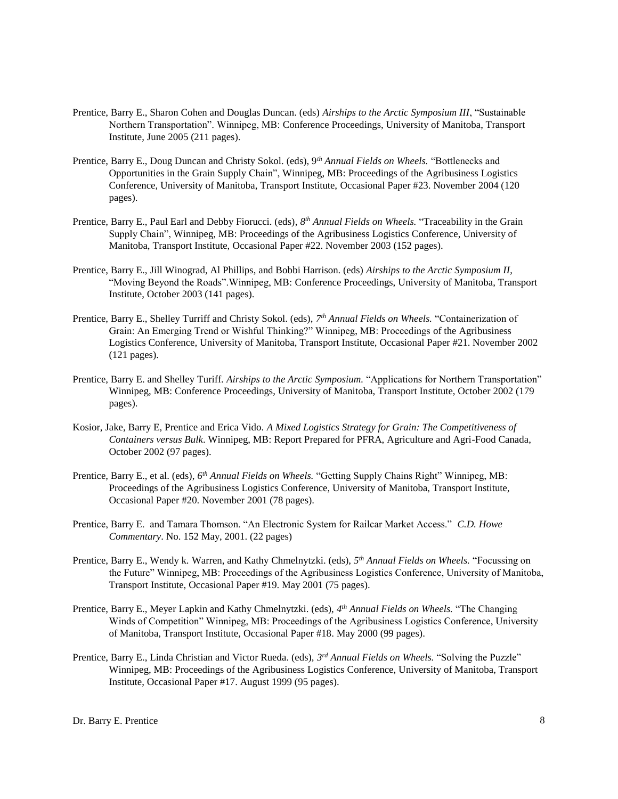- Prentice, Barry E., Sharon Cohen and Douglas Duncan. (eds) *Airships to the Arctic Symposium III*, "Sustainable Northern Transportation". Winnipeg, MB: Conference Proceedings, University of Manitoba, Transport Institute, June 2005 (211 pages).
- Prentice, Barry E., Doug Duncan and Christy Sokol. (eds), 9*th Annual Fields on Wheels.* "Bottlenecks and Opportunities in the Grain Supply Chain", Winnipeg, MB: Proceedings of the Agribusiness Logistics Conference, University of Manitoba, Transport Institute, Occasional Paper #23. November 2004 (120 pages).
- Prentice, Barry E., Paul Earl and Debby Fiorucci. (eds), *8 th Annual Fields on Wheels.* "Traceability in the Grain Supply Chain", Winnipeg, MB: Proceedings of the Agribusiness Logistics Conference, University of Manitoba, Transport Institute, Occasional Paper #22. November 2003 (152 pages).
- Prentice, Barry E., Jill Winograd, Al Phillips, and Bobbi Harrison. (eds) *Airships to the Arctic Symposium II*, "Moving Beyond the Roads".Winnipeg, MB: Conference Proceedings, University of Manitoba, Transport Institute, October 2003 (141 pages).
- Prentice, Barry E., Shelley Turriff and Christy Sokol. (eds), *7 th Annual Fields on Wheels.* "Containerization of Grain: An Emerging Trend or Wishful Thinking?" Winnipeg, MB: Proceedings of the Agribusiness Logistics Conference, University of Manitoba, Transport Institute, Occasional Paper #21. November 2002 (121 pages).
- Prentice, Barry E. and Shelley Turiff. *Airships to the Arctic Symposium.* "Applications for Northern Transportation" Winnipeg, MB: Conference Proceedings, University of Manitoba, Transport Institute, October 2002 (179 pages).
- Kosior, Jake, Barry E, Prentice and Erica Vido. *A Mixed Logistics Strategy for Grain: The Competitiveness of Containers versus Bulk*. Winnipeg, MB: Report Prepared for PFRA, Agriculture and Agri-Food Canada, October 2002 (97 pages).
- Prentice, Barry E., et al. (eds), 6<sup>th</sup> Annual Fields on Wheels. "Getting Supply Chains Right" Winnipeg, MB: Proceedings of the Agribusiness Logistics Conference, University of Manitoba, Transport Institute, Occasional Paper #20. November 2001 (78 pages).
- Prentice, Barry E. and Tamara Thomson. "An Electronic System for Railcar Market Access." *C.D. Howe Commentary*. No. 152 May, 2001. (22 pages)
- Prentice, Barry E., Wendy k. Warren, and Kathy Chmelnytzki. (eds), *5 th Annual Fields on Wheels.* "Focussing on the Future" Winnipeg, MB: Proceedings of the Agribusiness Logistics Conference, University of Manitoba, Transport Institute, Occasional Paper #19. May 2001 (75 pages).
- Prentice, Barry E., Meyer Lapkin and Kathy Chmelnytzki. (eds), *4 th Annual Fields on Wheels.* "The Changing Winds of Competition" Winnipeg, MB: Proceedings of the Agribusiness Logistics Conference, University of Manitoba, Transport Institute, Occasional Paper #18. May 2000 (99 pages).
- Prentice, Barry E., Linda Christian and Victor Rueda. (eds), *3 rd Annual Fields on Wheels.* "Solving the Puzzle" Winnipeg, MB: Proceedings of the Agribusiness Logistics Conference, University of Manitoba, Transport Institute, Occasional Paper #17. August 1999 (95 pages).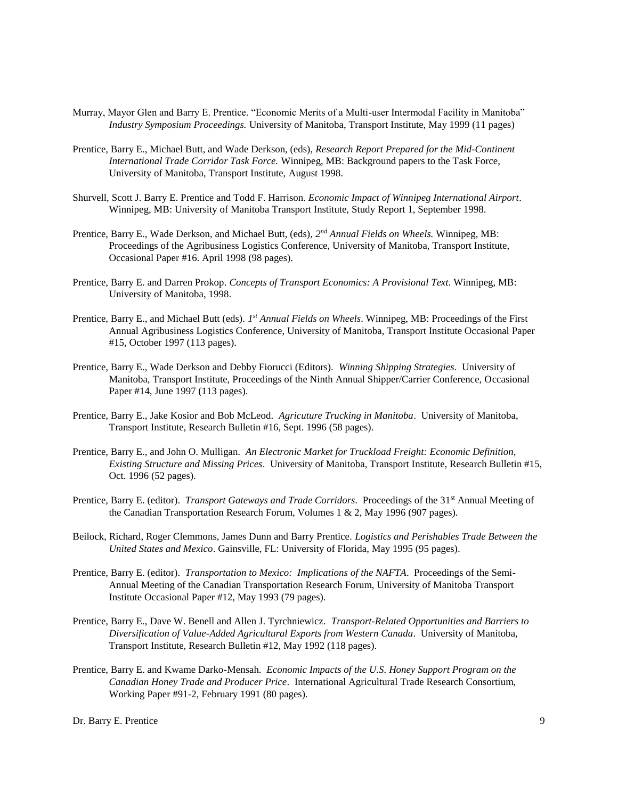- Murray, Mayor Glen and Barry E. Prentice. "Economic Merits of a Multi-user Intermodal Facility in Manitoba" *Industry Symposium Proceedings.* University of Manitoba, Transport Institute, May 1999 (11 pages)
- Prentice, Barry E., Michael Butt, and Wade Derkson, (eds), *Research Report Prepared for the Mid-Continent International Trade Corridor Task Force.* Winnipeg, MB: Background papers to the Task Force, University of Manitoba, Transport Institute, August 1998.
- Shurvell, Scott J. Barry E. Prentice and Todd F. Harrison. *Economic Impact of Winnipeg International Airport*. Winnipeg, MB: University of Manitoba Transport Institute, Study Report 1, September 1998.
- Prentice, Barry E., Wade Derkson, and Michael Butt, (eds), 2<sup>nd</sup> Annual Fields on Wheels. Winnipeg, MB: Proceedings of the Agribusiness Logistics Conference, University of Manitoba, Transport Institute, Occasional Paper #16. April 1998 (98 pages).
- Prentice, Barry E. and Darren Prokop. *Concepts of Transport Economics: A Provisional Text*. Winnipeg, MB: University of Manitoba, 1998.
- Prentice, Barry E., and Michael Butt (eds). *1 st Annual Fields on Wheels*. Winnipeg, MB: Proceedings of the First Annual Agribusiness Logistics Conference, University of Manitoba, Transport Institute Occasional Paper #15, October 1997 (113 pages).
- Prentice, Barry E., Wade Derkson and Debby Fiorucci (Editors). *Winning Shipping Strategies*. University of Manitoba, Transport Institute, Proceedings of the Ninth Annual Shipper/Carrier Conference, Occasional Paper #14, June 1997 (113 pages).
- Prentice, Barry E., Jake Kosior and Bob McLeod. *Agricuture Trucking in Manitoba*. University of Manitoba, Transport Institute, Research Bulletin #16, Sept. 1996 (58 pages).
- Prentice, Barry E., and John O. Mulligan. *An Electronic Market for Truckload Freight: Economic Definition, Existing Structure and Missing Prices*. University of Manitoba, Transport Institute, Research Bulletin #15, Oct. 1996 (52 pages).
- Prentice, Barry E. (editor). *Transport Gateways and Trade Corridors*. Proceedings of the 31<sup>st</sup> Annual Meeting of the Canadian Transportation Research Forum, Volumes 1 & 2, May 1996 (907 pages).
- Beilock, Richard, Roger Clemmons, James Dunn and Barry Prentice. *Logistics and Perishables Trade Between the United States and Mexico*. Gainsville, FL: University of Florida, May 1995 (95 pages).
- Prentice, Barry E. (editor). *Transportation to Mexico: Implications of the NAFTA*. Proceedings of the Semi-Annual Meeting of the Canadian Transportation Research Forum, University of Manitoba Transport Institute Occasional Paper #12, May 1993 (79 pages).
- Prentice, Barry E., Dave W. Benell and Allen J. Tyrchniewicz. *Transport-Related Opportunities and Barriers to Diversification of Value-Added Agricultural Exports from Western Canada*. University of Manitoba, Transport Institute, Research Bulletin #12, May 1992 (118 pages).
- Prentice, Barry E. and Kwame Darko-Mensah. *Economic Impacts of the U.S. Honey Support Program on the Canadian Honey Trade and Producer Price*. International Agricultural Trade Research Consortium, Working Paper #91-2, February 1991 (80 pages).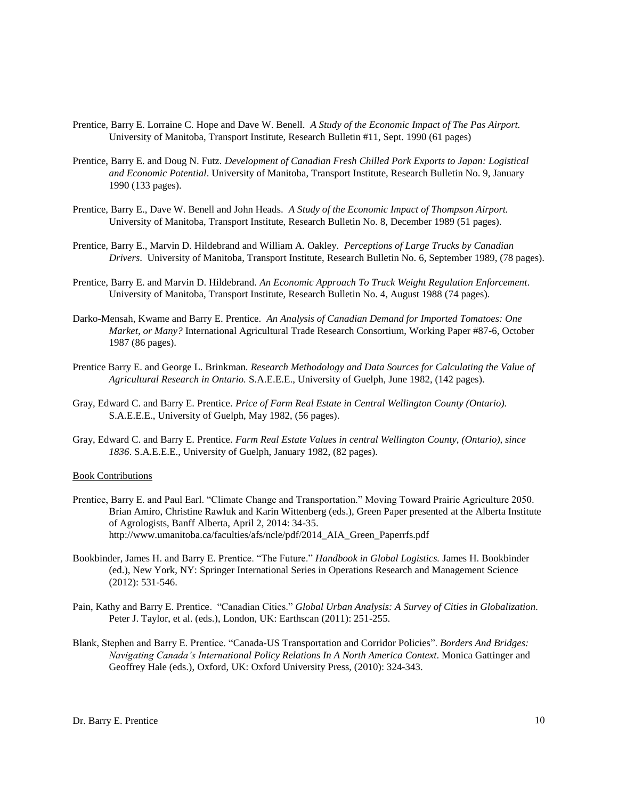- Prentice, Barry E. Lorraine C. Hope and Dave W. Benell. *A Study of the Economic Impact of The Pas Airport.*  University of Manitoba, Transport Institute, Research Bulletin #11, Sept. 1990 (61 pages)
- Prentice, Barry E. and Doug N. Futz. *Development of Canadian Fresh Chilled Pork Exports to Japan: Logistical and Economic Potential*. University of Manitoba, Transport Institute, Research Bulletin No. 9, January 1990 (133 pages).
- Prentice, Barry E., Dave W. Benell and John Heads. *A Study of the Economic Impact of Thompson Airport.* University of Manitoba, Transport Institute, Research Bulletin No. 8, December 1989 (51 pages).
- Prentice, Barry E., Marvin D. Hildebrand and William A. Oakley. *Perceptions of Large Trucks by Canadian Drivers*. University of Manitoba, Transport Institute, Research Bulletin No. 6, September 1989, (78 pages).
- Prentice, Barry E. and Marvin D. Hildebrand. *An Economic Approach To Truck Weight Regulation Enforcement*. University of Manitoba, Transport Institute, Research Bulletin No. 4, August 1988 (74 pages).
- Darko-Mensah, Kwame and Barry E. Prentice. *An Analysis of Canadian Demand for Imported Tomatoes: One Market, or Many?* International Agricultural Trade Research Consortium, Working Paper #87-6, October 1987 (86 pages).
- Prentice Barry E. and George L. Brinkman. *Research Methodology and Data Sources for Calculating the Value of Agricultural Research in Ontario.* S.A.E.E.E., University of Guelph, June 1982, (142 pages).
- Gray, Edward C. and Barry E. Prentice. *Price of Farm Real Estate in Central Wellington County (Ontario).* S.A.E.E.E., University of Guelph, May 1982, (56 pages).
- Gray, Edward C. and Barry E. Prentice. *Farm Real Estate Values in central Wellington County, (Ontario), since 1836*. S.A.E.E.E., University of Guelph, January 1982, (82 pages).

# Book Contributions

- Prentice, Barry E. and Paul Earl. "Climate Change and Transportation." Moving Toward Prairie Agriculture 2050. Brian Amiro, Christine Rawluk and Karin Wittenberg (eds.), Green Paper presented at the Alberta Institute of Agrologists, Banff Alberta, April 2, 2014: 34-35. http://www.umanitoba.ca/faculties/afs/ncle/pdf/2014\_AIA\_Green\_Paperrfs.pdf
- Bookbinder, James H. and Barry E. Prentice. "The Future." *Handbook in Global Logistics.* James H. Bookbinder (ed.), New York, NY: Springer International Series in Operations Research and Management Science (2012): 531-546.
- Pain, Kathy and Barry E. Prentice. "Canadian Cities." *Global Urban Analysis: A Survey of Cities in Globalization.*  Peter J. Taylor, et al. (eds.), London, UK: Earthscan (2011): 251-255.
- Blank, Stephen and Barry E. Prentice. "Canada-US Transportation and Corridor Policies". *Borders And Bridges: Navigating Canada's International Policy Relations In A North America Context*. Monica Gattinger and Geoffrey Hale (eds.), Oxford, UK: Oxford University Press, (2010): 324-343.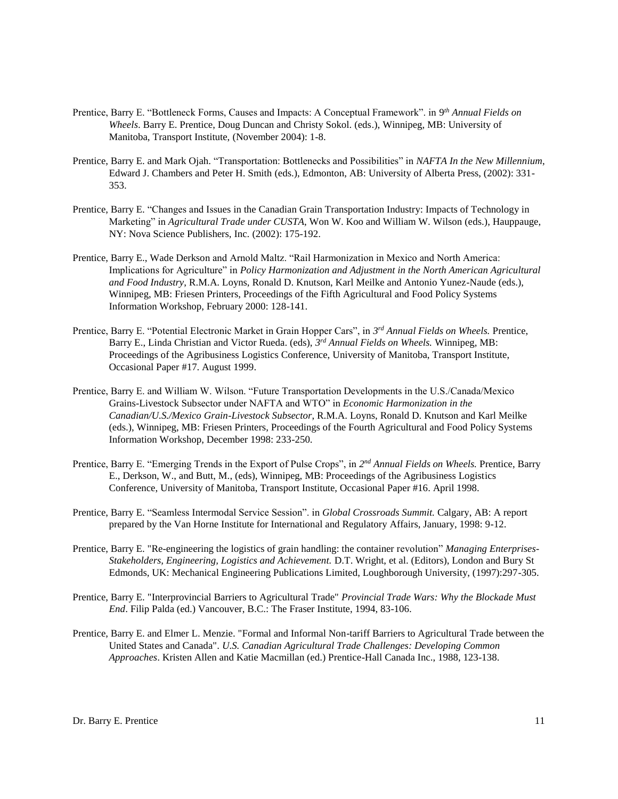- Prentice, Barry E. "Bottleneck Forms, Causes and Impacts: A Conceptual Framework". in 9th Annual Fields on *Wheels*. Barry E. Prentice, Doug Duncan and Christy Sokol. (eds.), Winnipeg, MB: University of Manitoba, Transport Institute, (November 2004): 1-8.
- Prentice, Barry E. and Mark Ojah. "Transportation: Bottlenecks and Possibilities" in *NAFTA In the New Millennium*, Edward J. Chambers and Peter H. Smith (eds.), Edmonton, AB: University of Alberta Press, (2002): 331- 353.
- Prentice, Barry E. "Changes and Issues in the Canadian Grain Transportation Industry: Impacts of Technology in Marketing" in *Agricultural Trade under CUSTA*, Won W. Koo and William W. Wilson (eds.), Hauppauge, NY: Nova Science Publishers, Inc. (2002): 175-192.
- Prentice, Barry E., Wade Derkson and Arnold Maltz. "Rail Harmonization in Mexico and North America: Implications for Agriculture" in *Policy Harmonization and Adjustment in the North American Agricultural and Food Industry*, R.M.A. Loyns, Ronald D. Knutson, Karl Meilke and Antonio Yunez-Naude (eds.), Winnipeg, MB: Friesen Printers, Proceedings of the Fifth Agricultural and Food Policy Systems Information Workshop, February 2000: 128-141.
- Prentice, Barry E. "Potential Electronic Market in Grain Hopper Cars", in *3 rd Annual Fields on Wheels.* Prentice, Barry E., Linda Christian and Victor Rueda. (eds), *3 rd Annual Fields on Wheels.* Winnipeg, MB: Proceedings of the Agribusiness Logistics Conference, University of Manitoba, Transport Institute, Occasional Paper #17. August 1999.
- Prentice, Barry E. and William W. Wilson. "Future Transportation Developments in the U.S./Canada/Mexico Grains-Livestock Subsector under NAFTA and WTO" in *Economic Harmonization in the Canadian/U.S./Mexico Grain-Livestock Subsector*, R.M.A. Loyns, Ronald D. Knutson and Karl Meilke (eds.), Winnipeg, MB: Friesen Printers, Proceedings of the Fourth Agricultural and Food Policy Systems Information Workshop, December 1998: 233-250.
- Prentice, Barry E. "Emerging Trends in the Export of Pulse Crops", in 2<sup>nd</sup> Annual Fields on Wheels. Prentice, Barry E., Derkson, W., and Butt, M., (eds), Winnipeg, MB: Proceedings of the Agribusiness Logistics Conference, University of Manitoba, Transport Institute, Occasional Paper #16. April 1998.
- Prentice, Barry E. "Seamless Intermodal Service Session". in *Global Crossroads Summit.* Calgary, AB: A report prepared by the Van Horne Institute for International and Regulatory Affairs, January, 1998: 9-12.
- Prentice, Barry E. "Re-engineering the logistics of grain handling: the container revolution" *Managing Enterprises-Stakeholders, Engineering, Logistics and Achievement.* D.T. Wright, et al. (Editors), London and Bury St Edmonds, UK: Mechanical Engineering Publications Limited, Loughborough University, (1997):297-305.
- Prentice, Barry E. "Interprovincial Barriers to Agricultural Trade" *Provincial Trade Wars: Why the Blockade Must End*. Filip Palda (ed.) Vancouver, B.C.: The Fraser Institute, 1994, 83-106.
- Prentice, Barry E. and Elmer L. Menzie. "Formal and Informal Non-tariff Barriers to Agricultural Trade between the United States and Canada". *U.S. Canadian Agricultural Trade Challenges: Developing Common Approaches*. Kristen Allen and Katie Macmillan (ed.) Prentice-Hall Canada Inc., 1988, 123-138.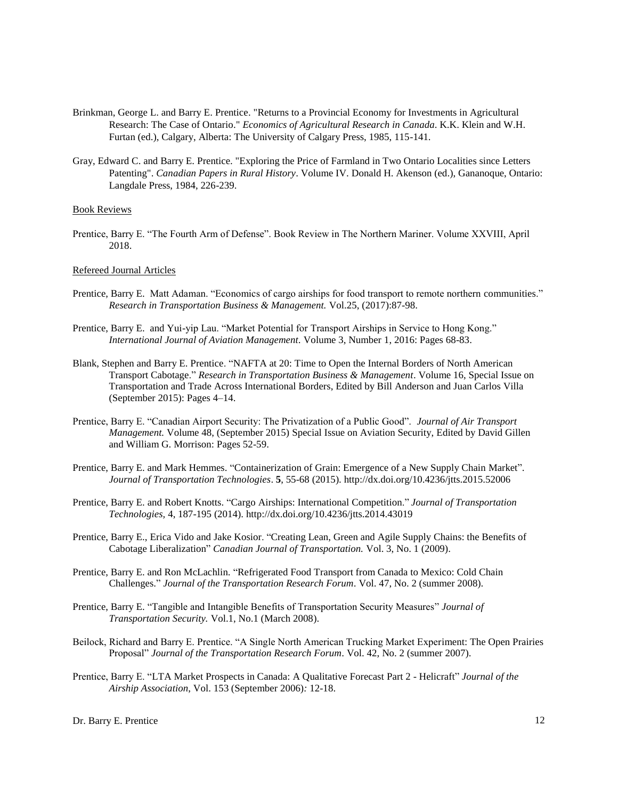- Brinkman, George L. and Barry E. Prentice. "Returns to a Provincial Economy for Investments in Agricultural Research: The Case of Ontario." *Economics of Agricultural Research in Canada*. K.K. Klein and W.H. Furtan (ed.), Calgary, Alberta: The University of Calgary Press, 1985, 115-141.
- Gray, Edward C. and Barry E. Prentice. "Exploring the Price of Farmland in Two Ontario Localities since Letters Patenting". *Canadian Papers in Rural History*. Volume IV. Donald H. Akenson (ed.), Gananoque, Ontario: Langdale Press, 1984, 226-239.

# Book Reviews

Prentice, Barry E. "The Fourth Arm of Defense". Book Review in The Northern Mariner. Volume XXVIII, April 2018.

#### Refereed Journal Articles

- Prentice, Barry E. Matt Adaman. "Economics of cargo airships for food transport to remote northern communities." *Research in Transportation Business & Management.* Vol.25, (2017):87-98.
- Prentice, Barry E. and Yui-yip Lau. "Market Potential for Transport Airships in Service to Hong Kong." *International Journal of Aviation Management.* Volume 3, Number 1, 2016: Pages 68-83.
- Blank, Stephen and Barry E. Prentice. "NAFTA at 20: Time to Open the Internal Borders of North American Transport Cabotage." *Research in Transportation Business & Management*. Volume 16, Special Issue on Transportation and Trade Across International Borders, Edited by Bill Anderson and Juan Carlos Villa (September 2015): Pages 4–14.
- Prentice, Barry E. "Canadian Airport Security: The Privatization of a Public Good". *Journal of Air Transport Management.* Volume 48, (September 2015) Special Issue on Aviation Security, Edited by David Gillen and William G. Morrison: Pages 52-59.
- Prentice, Barry E. and Mark Hemmes. "Containerization of Grain: Emergence of a New Supply Chain Market". *Journal of Transportation Technologies*. **5**, 55-68 (2015). http://dx.doi.org/10.4236/jtts.2015.52006
- Prentice, Barry E. and Robert Knotts. "Cargo Airships: International Competition." *Journal of Transportation Technologies,* 4, 187-195 (2014). http://dx.doi.org/10.4236/jtts.2014.43019
- Prentice, Barry E., Erica Vido and Jake Kosior. "Creating Lean, Green and Agile Supply Chains: the Benefits of Cabotage Liberalization" *Canadian Journal of Transportation.* Vol. 3, No. 1 (2009).
- Prentice, Barry E. and Ron McLachlin. "Refrigerated Food Transport from Canada to Mexico: Cold Chain Challenges." *Journal of the Transportation Research Forum*. Vol. 47, No. 2 (summer 2008).
- Prentice, Barry E. "Tangible and Intangible Benefits of Transportation Security Measures" *Journal of Transportation Security.* Vol.1, No.1 (March 2008).
- Beilock, Richard and Barry E. Prentice. "A Single North American Trucking Market Experiment: The Open Prairies Proposal" *Journal of the Transportation Research Forum*. Vol. 42, No. 2 (summer 2007).
- Prentice, Barry E. "LTA Market Prospects in Canada: A Qualitative Forecast Part 2 Helicraft" *Journal of the Airship Association*, Vol. 153 (September 2006)*:* 12-18.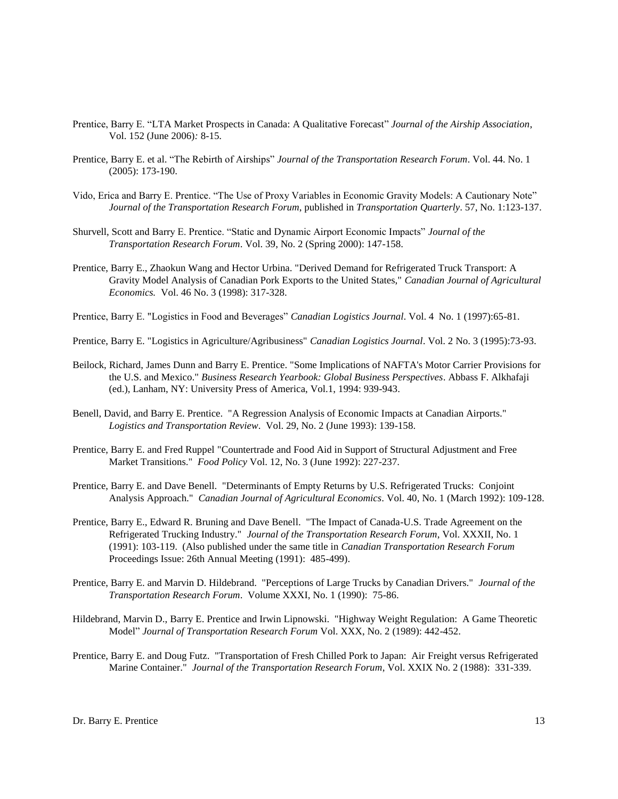- Prentice, Barry E. "LTA Market Prospects in Canada: A Qualitative Forecast" *Journal of the Airship Association*, Vol. 152 (June 2006)*:* 8-15.
- Prentice, Barry E. et al. "The Rebirth of Airships" *Journal of the Transportation Research Forum*. Vol. 44. No. 1 (2005): 173-190.
- Vido, Erica and Barry E. Prentice. "The Use of Proxy Variables in Economic Gravity Models: A Cautionary Note" *Journal of the Transportation Research Forum*, published in *Transportation Quarterly*. 57, No. 1:123-137.
- Shurvell, Scott and Barry E. Prentice. "Static and Dynamic Airport Economic Impacts" *Journal of the Transportation Research Forum*. Vol. 39, No. 2 (Spring 2000): 147-158.
- Prentice, Barry E., Zhaokun Wang and Hector Urbina. "Derived Demand for Refrigerated Truck Transport: A Gravity Model Analysis of Canadian Pork Exports to the United States," *Canadian Journal of Agricultural Economics.* Vol. 46 No. 3 (1998): 317-328.
- Prentice, Barry E. "Logistics in Food and Beverages" *Canadian Logistics Journal*. Vol. 4 No. 1 (1997):65-81.
- Prentice, Barry E. "Logistics in Agriculture/Agribusiness" *Canadian Logistics Journal*. Vol. 2 No. 3 (1995):73-93.
- Beilock, Richard, James Dunn and Barry E. Prentice. "Some Implications of NAFTA's Motor Carrier Provisions for the U.S. and Mexico." *Business Research Yearbook: Global Business Perspectives*. Abbass F. Alkhafaji (ed.), Lanham, NY: University Press of America, Vol.1, 1994: 939-943.
- Benell, David, and Barry E. Prentice. "A Regression Analysis of Economic Impacts at Canadian Airports." *Logistics and Transportation Review*. Vol. 29, No. 2 (June 1993): 139-158.
- Prentice, Barry E. and Fred Ruppel "Countertrade and Food Aid in Support of Structural Adjustment and Free Market Transitions." *Food Policy* Vol. 12, No. 3 (June 1992): 227-237.
- Prentice, Barry E. and Dave Benell. "Determinants of Empty Returns by U.S. Refrigerated Trucks: Conjoint Analysis Approach." *Canadian Journal of Agricultural Economics*. Vol. 40, No. 1 (March 1992): 109-128.
- Prentice, Barry E., Edward R. Bruning and Dave Benell. "The Impact of Canada-U.S. Trade Agreement on the Refrigerated Trucking Industry." *Journal of the Transportation Research Forum*, Vol. XXXII, No. 1 (1991): 103-119. (Also published under the same title in *Canadian Transportation Research Forum* Proceedings Issue: 26th Annual Meeting (1991): 485-499).
- Prentice, Barry E. and Marvin D. Hildebrand. "Perceptions of Large Trucks by Canadian Drivers." *Journal of the Transportation Research Forum*. Volume XXXI, No. 1 (1990): 75-86.
- Hildebrand, Marvin D., Barry E. Prentice and Irwin Lipnowski. "Highway Weight Regulation: A Game Theoretic Model" *Journal of Transportation Research Forum* Vol. XXX, No. 2 (1989): 442-452.
- Prentice, Barry E. and Doug Futz. "Transportation of Fresh Chilled Pork to Japan: Air Freight versus Refrigerated Marine Container." *Journal of the Transportation Research Forum*, Vol. XXIX No. 2 (1988): 331-339.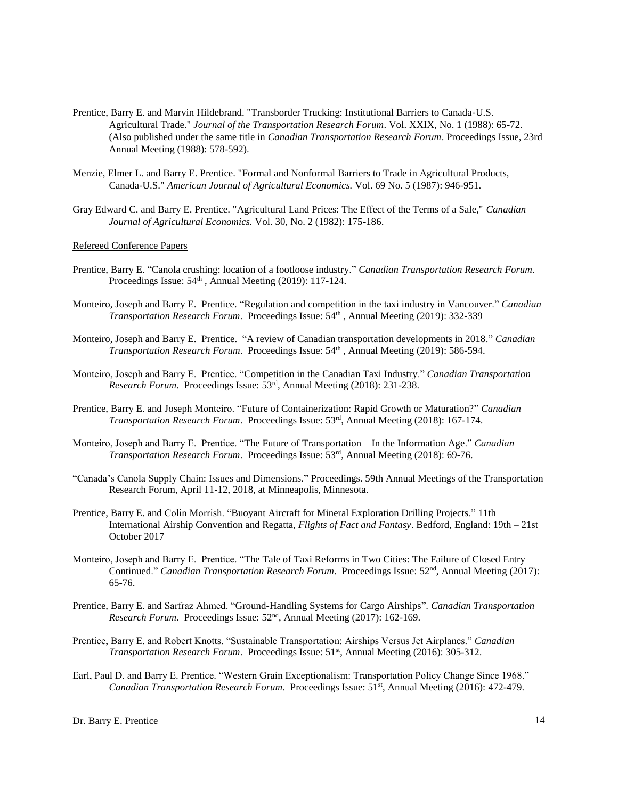- Prentice, Barry E. and Marvin Hildebrand. "Transborder Trucking: Institutional Barriers to Canada-U.S. Agricultural Trade." *Journal of the Transportation Research Forum*. Vol. XXIX, No. 1 (1988): 65-72. (Also published under the same title in *Canadian Transportation Research Forum*. Proceedings Issue, 23rd Annual Meeting (1988): 578-592).
- Menzie, Elmer L. and Barry E. Prentice. "Formal and Nonformal Barriers to Trade in Agricultural Products, Canada-U.S." *American Journal of Agricultural Economics.* Vol. 69 No. 5 (1987): 946-951.
- Gray Edward C. and Barry E. Prentice. "Agricultural Land Prices: The Effect of the Terms of a Sale," *Canadian Journal of Agricultural Economics.* Vol. 30, No. 2 (1982): 175-186.

# Refereed Conference Papers

- Prentice, Barry E. "Canola crushing: location of a footloose industry." *Canadian Transportation Research Forum*. Proceedings Issue:  $54<sup>th</sup>$ , Annual Meeting (2019): 117-124.
- Monteiro, Joseph and Barry E. Prentice. "Regulation and competition in the taxi industry in Vancouver." *Canadian*  Transportation Research Forum. Proceedings Issue: 54<sup>th</sup>, Annual Meeting (2019): 332-339
- Monteiro, Joseph and Barry E. Prentice. "A review of Canadian transportation developments in 2018." *Canadian*  Transportation Research Forum. Proceedings Issue: 54<sup>th</sup>, Annual Meeting (2019): 586-594.
- Monteiro, Joseph and Barry E. Prentice. "Competition in the Canadian Taxi Industry." *Canadian Transportation Research Forum*. Proceedings Issue: 53rd , Annual Meeting (2018): 231-238.
- Prentice, Barry E. and Joseph Monteiro. "Future of Containerization: Rapid Growth or Maturation?" *Canadian Transportation Research Forum*. Proceedings Issue: 53 rd , Annual Meeting (2018): 167-174.
- Monteiro, Joseph and Barry E. Prentice. "The Future of Transportation In the Information Age." *Canadian Transportation Research Forum*. Proceedings Issue: 53rd , Annual Meeting (2018): 69-76.
- "Canada's Canola Supply Chain: Issues and Dimensions." Proceedings. 59th Annual Meetings of the Transportation Research Forum, April 11-12, 2018, at Minneapolis, Minnesota.
- Prentice, Barry E. and Colin Morrish. "Buoyant Aircraft for Mineral Exploration Drilling Projects." 11th International Airship Convention and Regatta, *Flights of Fact and Fantasy*. Bedford, England: 19th – 21st October 2017
- Monteiro, Joseph and Barry E. Prentice. "The Tale of Taxi Reforms in Two Cities: The Failure of Closed Entry Continued." *Canadian Transportation Research Forum*. Proceedings Issue: 52nd, Annual Meeting (2017): 65-76.
- Prentice, Barry E. and Sarfraz Ahmed. "Ground-Handling Systems for Cargo Airships". *Canadian Transportation Research Forum*. Proceedings Issue: 52nd, Annual Meeting (2017): 162-169.
- Prentice, Barry E. and Robert Knotts. "Sustainable Transportation: Airships Versus Jet Airplanes." *Canadian Transportation Research Forum.* Proceedings Issue: 51<sup>st</sup>, Annual Meeting (2016): 305-312.
- Earl, Paul D. and Barry E. Prentice. "Western Grain Exceptionalism: Transportation Policy Change Since 1968." *Canadian Transportation Research Forum*. Proceedings Issue: 51st, Annual Meeting (2016): 472-479.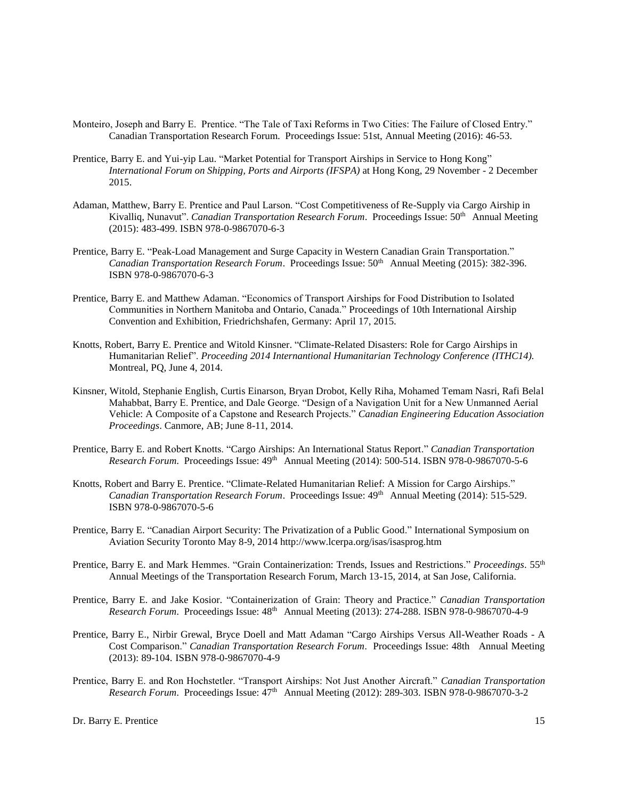- Monteiro, Joseph and Barry E. Prentice. "The Tale of Taxi Reforms in Two Cities: The Failure of Closed Entry." Canadian Transportation Research Forum. Proceedings Issue: 51st, Annual Meeting (2016): 46-53.
- Prentice, Barry E. and Yui-yip Lau. "Market Potential for Transport Airships in Service to Hong Kong" *International Forum on Shipping, Ports and Airports (IFSPA)* at Hong Kong, 29 November - 2 December 2015.
- Adaman, Matthew, Barry E. Prentice and Paul Larson. "Cost Competitiveness of Re-Supply via Cargo Airship in Kivalliq, Nunavut". Canadian Transportation Research Forum. Proceedings Issue: 50<sup>th</sup> Annual Meeting (2015): 483-499. ISBN 978-0-9867070-6-3
- Prentice, Barry E. "Peak-Load Management and Surge Capacity in Western Canadian Grain Transportation." *Canadian Transportation Research Forum.* Proceedings Issue:  $50<sup>th</sup>$  Annual Meeting (2015): 382-396. ISBN 978-0-9867070-6-3
- Prentice, Barry E. and Matthew Adaman. "Economics of Transport Airships for Food Distribution to Isolated Communities in Northern Manitoba and Ontario, Canada." Proceedings of 10th International Airship Convention and Exhibition, Friedrichshafen, Germany: April 17, 2015.
- Knotts, Robert, Barry E. Prentice and Witold Kinsner. "Climate-Related Disasters: Role for Cargo Airships in Humanitarian Relief". *Proceeding 2014 Internantional Humanitarian Technology Conference (ITHC14).*  Montreal, PQ, June 4, 2014.
- Kinsner, Witold, Stephanie English, Curtis Einarson, Bryan Drobot, Kelly Riha, Mohamed Temam Nasri, Rafi Belal Mahabbat, Barry E. Prentice, and Dale George. "Design of a Navigation Unit for a New Unmanned Aerial Vehicle: A Composite of a Capstone and Research Projects." *Canadian Engineering Education Association Proceedings*. Canmore, AB; June 8-11, 2014.
- Prentice, Barry E. and Robert Knotts. "Cargo Airships: An International Status Report." *Canadian Transportation Research Forum*. Proceedings Issue: 49th Annual Meeting (2014): 500-514. ISBN 978-0-9867070-5-6
- Knotts, Robert and Barry E. Prentice. "Climate-Related Humanitarian Relief: A Mission for Cargo Airships." *Canadian Transportation Research Forum*. Proceedings Issue: 49th Annual Meeting (2014): 515-529. ISBN 978-0-9867070-5-6
- Prentice, Barry E. "Canadian Airport Security: The Privatization of a Public Good." International Symposium on Aviation Security Toronto May 8-9, 2014 http://www.lcerpa.org/isas/isasprog.htm
- Prentice, Barry E. and Mark Hemmes. "Grain Containerization: Trends, Issues and Restrictions." *Proceedings*. 55th Annual Meetings of the Transportation Research Forum, March 13-15, 2014, at San Jose, California.
- Prentice, Barry E. and Jake Kosior. "Containerization of Grain: Theory and Practice." *Canadian Transportation Research Forum*. Proceedings Issue: 48th Annual Meeting (2013): 274-288. ISBN 978-0-9867070-4-9
- Prentice, Barry E., Nirbir Grewal, Bryce Doell and Matt Adaman "Cargo Airships Versus All-Weather Roads A Cost Comparison." *Canadian Transportation Research Forum*. Proceedings Issue: 48th Annual Meeting (2013): 89-104. ISBN 978-0-9867070-4-9
- Prentice, Barry E. and Ron Hochstetler. "Transport Airships: Not Just Another Aircraft." *Canadian Transportation Research Forum.* Proceedings Issue:  $47<sup>th</sup>$  Annual Meeting (2012): 289-303. ISBN 978-0-9867070-3-2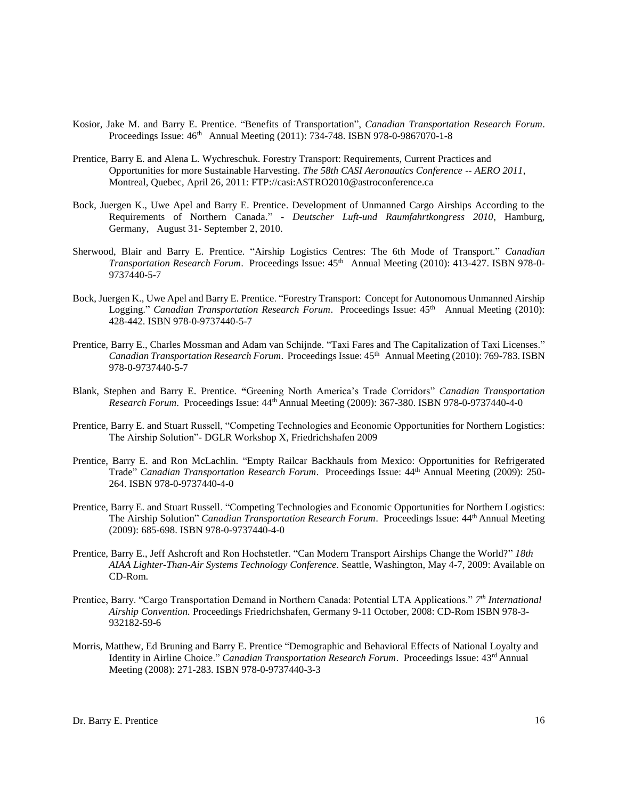- Kosior, Jake M. and Barry E. Prentice. "Benefits of Transportation", *Canadian Transportation Research Forum*. Proceedings Issue: 46<sup>th</sup> Annual Meeting (2011): 734-748. ISBN 978-0-9867070-1-8
- Prentice, Barry E. and Alena L. Wychreschuk. Forestry Transport: Requirements, Current Practices and Opportunities for more Sustainable Harvesting. *The 58th CASI Aeronautics Conference -- AERO 2011*, Montreal, Quebec, April 26, 2011: FTP://casi:ASTRO2010@astroconference.ca
- Bock, Juergen K., Uwe Apel and Barry E. Prentice. Development of Unmanned Cargo Airships According to the Requirements of Northern Canada." - *Deutscher Luft-und Raumfahrtkongress 2010*, Hamburg, Germany, August 31- September 2, 2010.
- Sherwood, Blair and Barry E. Prentice. "Airship Logistics Centres: The 6th Mode of Transport." *Canadian Transportation Research Forum.* Proceedings Issue:  $45<sup>th</sup>$  Annual Meeting (2010): 413-427. ISBN 978-0-9737440-5-7
- Bock, Juergen K., Uwe Apel and Barry E. Prentice. "Forestry Transport: Concept for Autonomous Unmanned Airship Logging." *Canadian Transportation Research Forum.* Proceedings Issue:  $45<sup>th</sup>$  Annual Meeting (2010): 428-442. ISBN 978-0-9737440-5-7
- Prentice, Barry E., Charles Mossman and Adam van Schijnde. "Taxi Fares and The Capitalization of Taxi Licenses." *Canadian Transportation Research Forum*. Proceedings Issue: 45th Annual Meeting (2010): 769-783. ISBN 978-0-9737440-5-7
- Blank, Stephen and Barry E. Prentice. **"**Greening North America's Trade Corridors" *Canadian Transportation Research Forum*. Proceedings Issue: 44th Annual Meeting (2009): 367-380. ISBN 978-0-9737440-4-0
- Prentice, Barry E. and Stuart Russell, "Competing Technologies and Economic Opportunities for Northern Logistics: The Airship Solution"- DGLR Workshop X, Friedrichshafen 2009
- Prentice, Barry E. and Ron McLachlin. "Empty Railcar Backhauls from Mexico: Opportunities for Refrigerated Trade" *Canadian Transportation Research Forum*. Proceedings Issue: 44th Annual Meeting (2009): 250- 264. ISBN 978-0-9737440-4-0
- Prentice, Barry E. and Stuart Russell. "Competing Technologies and Economic Opportunities for Northern Logistics: The Airship Solution" *Canadian Transportation Research Forum*. Proceedings Issue: 44th Annual Meeting (2009): 685-698. ISBN 978-0-9737440-4-0
- Prentice, Barry E., Jeff Ashcroft and Ron Hochstetler. "Can Modern Transport Airships Change the World?" *18th AIAA Lighter-Than-Air Systems Technology Conference.* Seattle, Washington, May 4-7, 2009: Available on CD-Rom.
- Prentice, Barry. "Cargo Transportation Demand in Northern Canada: Potential LTA Applications." *7 th International Airship Convention.* Proceedings Friedrichshafen, Germany 9-11 October, 2008: CD-Rom ISBN 978-3- 932182-59-6
- Morris, Matthew, Ed Bruning and Barry E. Prentice "Demographic and Behavioral Effects of National Loyalty and Identity in Airline Choice." *Canadian Transportation Research Forum*. Proceedings Issue: 43rd Annual Meeting (2008): 271-283. ISBN 978-0-9737440-3-3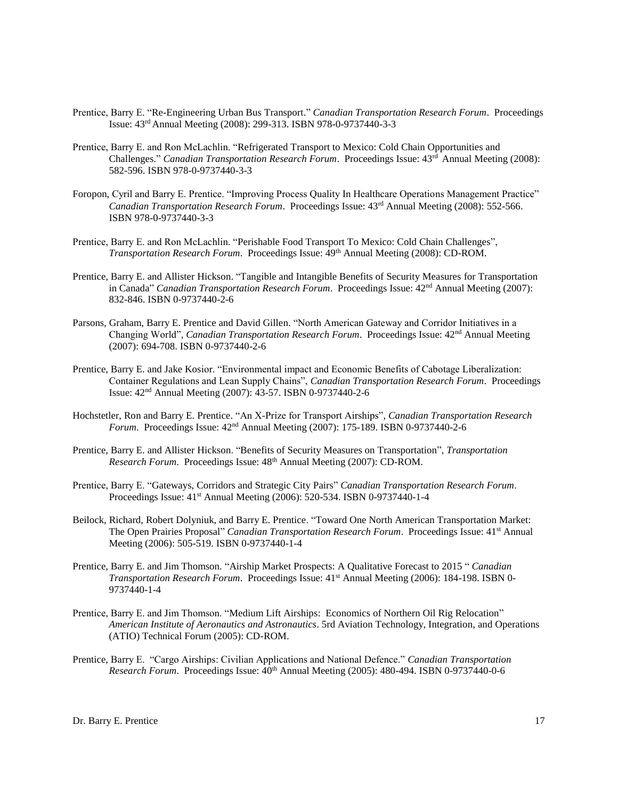- Prentice, Barry E. "Re-Engineering Urban Bus Transport." *Canadian Transportation Research Forum*. Proceedings Issue: 43rd Annual Meeting (2008): 299-313. ISBN 978-0-9737440-3-3
- Prentice, Barry E. and Ron McLachlin. "Refrigerated Transport to Mexico: Cold Chain Opportunities and Challenges." *Canadian Transportation Research Forum*. Proceedings Issue: 43rd Annual Meeting (2008): 582-596. ISBN 978-0-9737440-3-3
- Foropon, Cyril and Barry E. Prentice. "Improving Process Quality In Healthcare Operations Management Practice" *Canadian Transportation Research Forum*. Proceedings Issue: 43rd Annual Meeting (2008): 552-566. ISBN 978-0-9737440-3-3
- Prentice, Barry E. and Ron McLachlin. "Perishable Food Transport To Mexico: Cold Chain Challenges", *Transportation Research Forum.* Proceedings Issue:  $49<sup>th</sup>$  Annual Meeting (2008): CD-ROM.
- Prentice, Barry E. and Allister Hickson. "Tangible and Intangible Benefits of Security Measures for Transportation in Canada" *Canadian Transportation Research Forum*. Proceedings Issue: 42nd Annual Meeting (2007): 832-846. ISBN 0-9737440-2-6
- Parsons, Graham, Barry E. Prentice and David Gillen. "North American Gateway and Corridor Initiatives in a Changing World", *Canadian Transportation Research Forum*. Proceedings Issue: 42nd Annual Meeting (2007): 694-708. ISBN 0-9737440-2-6
- Prentice, Barry E. and Jake Kosior. "Environmental impact and Economic Benefits of Cabotage Liberalization: Container Regulations and Lean Supply Chains", *Canadian Transportation Research Forum*. Proceedings Issue: 42nd Annual Meeting (2007): 43-57. ISBN 0-9737440-2-6
- Hochstetler, Ron and Barry E. Prentice. "An X-Prize for Transport Airships", *Canadian Transportation Research Forum*. Proceedings Issue: 42nd Annual Meeting (2007): 175-189. ISBN 0-9737440-2-6
- Prentice, Barry E. and Allister Hickson. "Benefits of Security Measures on Transportation", *Transportation Research Forum*. Proceedings Issue: 48th Annual Meeting (2007): CD-ROM.
- Prentice, Barry E. "Gateways, Corridors and Strategic City Pairs" *Canadian Transportation Research Forum*. Proceedings Issue: 41st Annual Meeting (2006): 520-534. ISBN 0-9737440-1-4
- Beilock, Richard, Robert Dolyniuk, and Barry E. Prentice. "Toward One North American Transportation Market: The Open Prairies Proposal" *Canadian Transportation Research Forum*. Proceedings Issue: 41st Annual Meeting (2006): 505-519. ISBN 0-9737440-1-4
- Prentice, Barry E. and Jim Thomson. "Airship Market Prospects: A Qualitative Forecast to 2015 " *Canadian Transportation Research Forum*. Proceedings Issue: 41st Annual Meeting (2006): 184-198. ISBN 0- 9737440-1-4
- Prentice, Barry E. and Jim Thomson. "Medium Lift Airships: Economics of Northern Oil Rig Relocation" *American Institute of Aeronautics and Astronautics*. 5rd Aviation Technology, Integration, and Operations (ATIO) Technical Forum (2005): CD-ROM.
- Prentice, Barry E. "Cargo Airships: Civilian Applications and National Defence." *Canadian Transportation Research Forum*. Proceedings Issue: 40th Annual Meeting (2005): 480-494. ISBN 0-9737440-0-6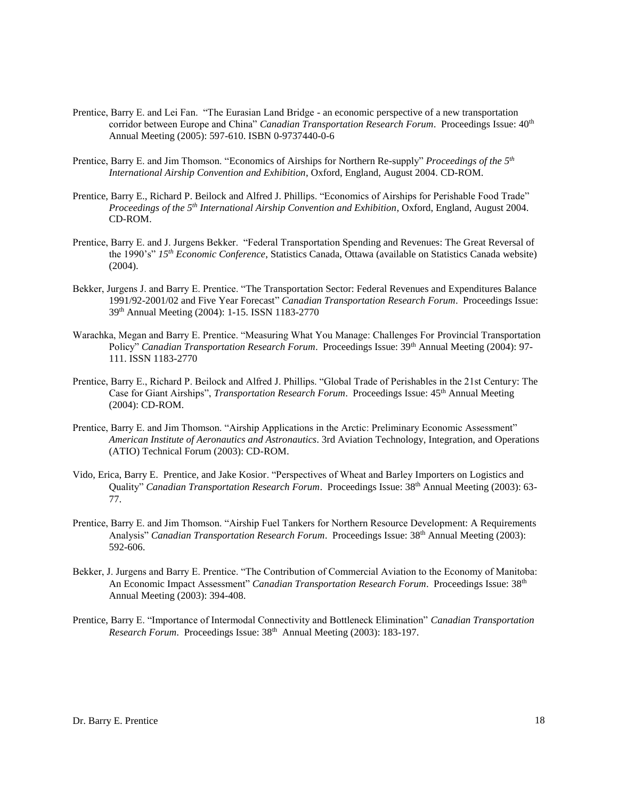- Prentice, Barry E. and Lei Fan. "The Eurasian Land Bridge an economic perspective of a new transportation corridor between Europe and China" *Canadian Transportation Research Forum*. Proceedings Issue: 40th Annual Meeting (2005): 597-610. ISBN 0-9737440-0-6
- Prentice, Barry E. and Jim Thomson. "Economics of Airships for Northern Re-supply" *Proceedings of the 5 th International Airship Convention and Exhibition*, Oxford, England, August 2004. CD-ROM.
- Prentice, Barry E., Richard P. Beilock and Alfred J. Phillips. "Economics of Airships for Perishable Food Trade" *Proceedings of the 5 th International Airship Convention and Exhibition*, Oxford, England, August 2004. CD-ROM.
- Prentice, Barry E. and J. Jurgens Bekker. "Federal Transportation Spending and Revenues: The Great Reversal of the 1990's" *15th Economic Conference*, Statistics Canada, Ottawa (available on Statistics Canada website) (2004).
- Bekker, Jurgens J. and Barry E. Prentice. "The Transportation Sector: Federal Revenues and Expenditures Balance 1991/92-2001/02 and Five Year Forecast" *Canadian Transportation Research Forum*. Proceedings Issue: 39th Annual Meeting (2004): 1-15. ISSN 1183-2770
- Warachka, Megan and Barry E. Prentice. "Measuring What You Manage: Challenges For Provincial Transportation Policy" *Canadian Transportation Research Forum.* Proceedings Issue: 39<sup>th</sup> Annual Meeting (2004): 97-111. ISSN 1183-2770
- Prentice, Barry E., Richard P. Beilock and Alfred J. Phillips. "Global Trade of Perishables in the 21st Century: The Case for Giant Airships", *Transportation Research Forum*. Proceedings Issue: 45th Annual Meeting (2004): CD-ROM.
- Prentice, Barry E. and Jim Thomson. "Airship Applications in the Arctic: Preliminary Economic Assessment" *American Institute of Aeronautics and Astronautics*. 3rd Aviation Technology, Integration, and Operations (ATIO) Technical Forum (2003): CD-ROM.
- Vido, Erica, Barry E. Prentice, and Jake Kosior. "Perspectives of Wheat and Barley Importers on Logistics and Quality" *Canadian Transportation Research Forum*. Proceedings Issue: 38th Annual Meeting (2003): 63- 77.
- Prentice, Barry E. and Jim Thomson. "Airship Fuel Tankers for Northern Resource Development: A Requirements Analysis" *Canadian Transportation Research Forum*. Proceedings Issue: 38th Annual Meeting (2003): 592-606.
- Bekker, J. Jurgens and Barry E. Prentice. "The Contribution of Commercial Aviation to the Economy of Manitoba: An Economic Impact Assessment" *Canadian Transportation Research Forum*. Proceedings Issue: 38th Annual Meeting (2003): 394-408.
- Prentice, Barry E. "Importance of Intermodal Connectivity and Bottleneck Elimination" *Canadian Transportation*  Research Forum. Proceedings Issue: 38<sup>th</sup> Annual Meeting (2003): 183-197.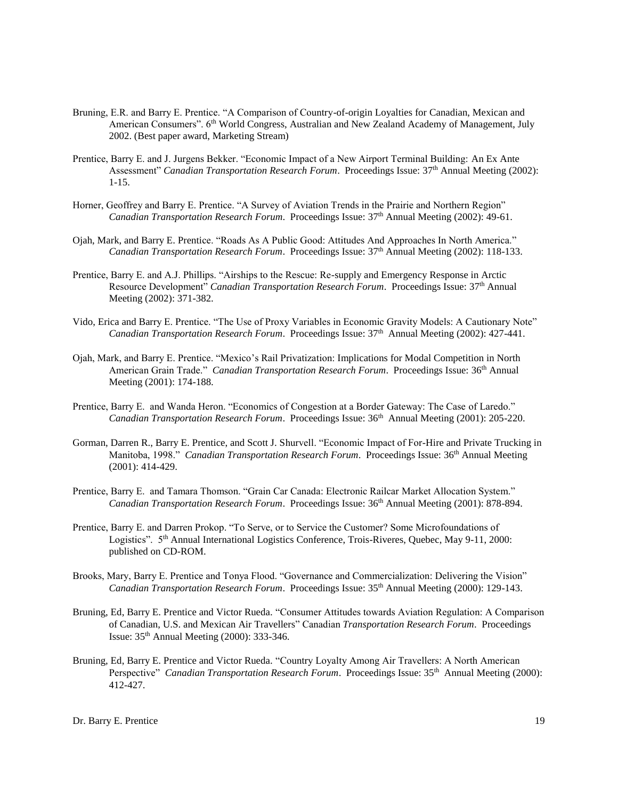- Bruning, E.R. and Barry E. Prentice. "A Comparison of Country-of-origin Loyalties for Canadian, Mexican and American Consumers". 6<sup>th</sup> World Congress, Australian and New Zealand Academy of Management, July 2002. (Best paper award, Marketing Stream)
- Prentice, Barry E. and J. Jurgens Bekker. "Economic Impact of a New Airport Terminal Building: An Ex Ante Assessment" *Canadian Transportation Research Forum*. Proceedings Issue: 37<sup>th</sup> Annual Meeting (2002): 1-15.
- Horner, Geoffrey and Barry E. Prentice. "A Survey of Aviation Trends in the Prairie and Northern Region" *Canadian Transportation Research Forum*. Proceedings Issue: 37th Annual Meeting (2002): 49-61.
- Ojah, Mark, and Barry E. Prentice. "Roads As A Public Good: Attitudes And Approaches In North America." *Canadian Transportation Research Forum*. Proceedings Issue: 37th Annual Meeting (2002): 118-133.
- Prentice, Barry E. and A.J. Phillips. "Airships to the Rescue: Re-supply and Emergency Response in Arctic Resource Development" *Canadian Transportation Research Forum*. Proceedings Issue: 37th Annual Meeting (2002): 371-382.
- Vido, Erica and Barry E. Prentice. "The Use of Proxy Variables in Economic Gravity Models: A Cautionary Note" Canadian Transportation Research Forum. Proceedings Issue: 37<sup>th</sup> Annual Meeting (2002): 427-441.
- Ojah, Mark, and Barry E. Prentice. "Mexico's Rail Privatization: Implications for Modal Competition in North American Grain Trade." *Canadian Transportation Research Forum*. Proceedings Issue: 36<sup>th</sup> Annual Meeting (2001): 174-188.
- Prentice, Barry E. and Wanda Heron. "Economics of Congestion at a Border Gateway: The Case of Laredo." Canadian Transportation Research Forum. Proceedings Issue: 36<sup>th</sup> Annual Meeting (2001): 205-220.
- Gorman, Darren R., Barry E. Prentice, and Scott J. Shurvell. "Economic Impact of For-Hire and Private Trucking in Manitoba, 1998." *Canadian Transportation Research Forum*. Proceedings Issue: 36<sup>th</sup> Annual Meeting (2001): 414-429.
- Prentice, Barry E. and Tamara Thomson. "Grain Car Canada: Electronic Railcar Market Allocation System." *Canadian Transportation Research Forum*. Proceedings Issue: 36th Annual Meeting (2001): 878-894.
- Prentice, Barry E. and Darren Prokop. "To Serve, or to Service the Customer? Some Microfoundations of Logistics". 5<sup>th</sup> Annual International Logistics Conference, Trois-Riveres, Quebec, May 9-11, 2000: published on CD-ROM.
- Brooks, Mary, Barry E. Prentice and Tonya Flood. "Governance and Commercialization: Delivering the Vision" *Canadian Transportation Research Forum*. Proceedings Issue: 35th Annual Meeting (2000): 129-143.
- Bruning, Ed, Barry E. Prentice and Victor Rueda. "Consumer Attitudes towards Aviation Regulation: A Comparison of Canadian, U.S. and Mexican Air Travellers" Canadian *Transportation Research Forum*. Proceedings Issue: 35th Annual Meeting (2000): 333-346.
- Bruning, Ed, Barry E. Prentice and Victor Rueda. "Country Loyalty Among Air Travellers: A North American Perspective" Canadian Transportation Research Forum. Proceedings Issue: 35<sup>th</sup> Annual Meeting (2000): 412-427.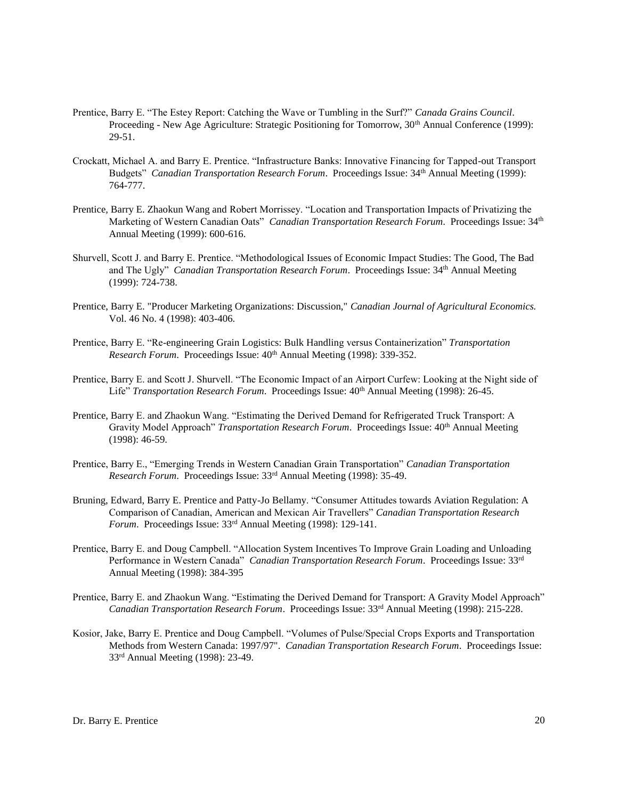- Prentice, Barry E. "The Estey Report: Catching the Wave or Tumbling in the Surf?" *Canada Grains Council*. Proceeding - New Age Agriculture: Strategic Positioning for Tomorrow, 30<sup>th</sup> Annual Conference (1999): 29-51.
- Crockatt, Michael A. and Barry E. Prentice. "Infrastructure Banks: Innovative Financing for Tapped-out Transport Budgets" *Canadian Transportation Research Forum*. Proceedings Issue: 34th Annual Meeting (1999): 764-777.
- Prentice, Barry E. Zhaokun Wang and Robert Morrissey. "Location and Transportation Impacts of Privatizing the Marketing of Western Canadian Oats" *Canadian Transportation Research Forum*. Proceedings Issue: 34th Annual Meeting (1999): 600-616.
- Shurvell, Scott J. and Barry E. Prentice. "Methodological Issues of Economic Impact Studies: The Good, The Bad and The Ugly" *Canadian Transportation Research Forum.* Proceedings Issue: 34<sup>th</sup> Annual Meeting (1999): 724-738.
- Prentice, Barry E. "Producer Marketing Organizations: Discussion," *Canadian Journal of Agricultural Economics.* Vol. 46 No. 4 (1998): 403-406.
- Prentice, Barry E. "Re-engineering Grain Logistics: Bulk Handling versus Containerization" *Transportation Research Forum.* Proceedings Issue: 40<sup>th</sup> Annual Meeting (1998): 339-352.
- Prentice, Barry E. and Scott J. Shurvell. "The Economic Impact of an Airport Curfew: Looking at the Night side of Life" *Transportation Research Forum.* Proceedings Issue:  $40<sup>th</sup>$  Annual Meeting (1998): 26-45.
- Prentice, Barry E. and Zhaokun Wang. "Estimating the Derived Demand for Refrigerated Truck Transport: A Gravity Model Approach" *Transportation Research Forum*. Proceedings Issue: 40<sup>th</sup> Annual Meeting (1998): 46-59.
- Prentice, Barry E., "Emerging Trends in Western Canadian Grain Transportation" *Canadian Transportation Research Forum*. Proceedings Issue: 33rd Annual Meeting (1998): 35-49.
- Bruning, Edward, Barry E. Prentice and Patty-Jo Bellamy. "Consumer Attitudes towards Aviation Regulation: A Comparison of Canadian, American and Mexican Air Travellers" *Canadian Transportation Research Forum*. Proceedings Issue: 33rd Annual Meeting (1998): 129-141.
- Prentice, Barry E. and Doug Campbell. "Allocation System Incentives To Improve Grain Loading and Unloading Performance in Western Canada" *Canadian Transportation Research Forum*. Proceedings Issue: 33rd Annual Meeting (1998): 384-395
- Prentice, Barry E. and Zhaokun Wang. "Estimating the Derived Demand for Transport: A Gravity Model Approach" *Canadian Transportation Research Forum*. Proceedings Issue: 33rd Annual Meeting (1998): 215-228.
- Kosior, Jake, Barry E. Prentice and Doug Campbell. "Volumes of Pulse/Special Crops Exports and Transportation Methods from Western Canada: 1997/97". *Canadian Transportation Research Forum*. Proceedings Issue: 33rd Annual Meeting (1998): 23-49.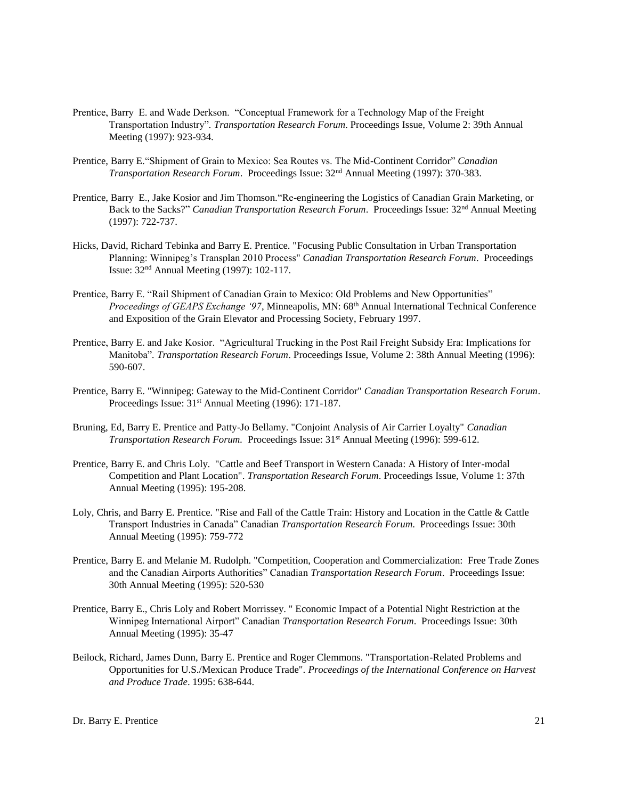- Prentice, Barry E. and Wade Derkson. "Conceptual Framework for a Technology Map of the Freight Transportation Industry"*. Transportation Research Forum*. Proceedings Issue, Volume 2: 39th Annual Meeting (1997): 923-934.
- Prentice, Barry E."Shipment of Grain to Mexico: Sea Routes vs. The Mid-Continent Corridor" *Canadian Transportation Research Forum*. Proceedings Issue: 32nd Annual Meeting (1997): 370-383.
- Prentice, Barry E., Jake Kosior and Jim Thomson."Re-engineering the Logistics of Canadian Grain Marketing, or Back to the Sacks?" *Canadian Transportation Research Forum*. Proceedings Issue: 32nd Annual Meeting (1997): 722-737.
- Hicks, David, Richard Tebinka and Barry E. Prentice. "Focusing Public Consultation in Urban Transportation Planning: Winnipeg's Transplan 2010 Process" *Canadian Transportation Research Forum*. Proceedings Issue: 32nd Annual Meeting (1997): 102-117.
- Prentice, Barry E. "Rail Shipment of Canadian Grain to Mexico: Old Problems and New Opportunities" *Proceedings of GEAPS Exchange '97*, Minneapolis, MN: 68th Annual International Technical Conference and Exposition of the Grain Elevator and Processing Society, February 1997.
- Prentice, Barry E. and Jake Kosior. "Agricultural Trucking in the Post Rail Freight Subsidy Era: Implications for Manitoba"*. Transportation Research Forum*. Proceedings Issue, Volume 2: 38th Annual Meeting (1996): 590-607.
- Prentice, Barry E. "Winnipeg: Gateway to the Mid-Continent Corridor" *Canadian Transportation Research Forum*. Proceedings Issue: 31<sup>st</sup> Annual Meeting (1996): 171-187.
- Bruning, Ed, Barry E. Prentice and Patty-Jo Bellamy. "Conjoint Analysis of Air Carrier Loyalty" *Canadian Transportation Research Forum.* Proceedings Issue:  $31<sup>st</sup>$  Annual Meeting (1996): 599-612.
- Prentice, Barry E. and Chris Loly. "Cattle and Beef Transport in Western Canada: A History of Inter-modal Competition and Plant Location". *Transportation Research Forum*. Proceedings Issue, Volume 1: 37th Annual Meeting (1995): 195-208.
- Loly, Chris, and Barry E. Prentice. "Rise and Fall of the Cattle Train: History and Location in the Cattle & Cattle Transport Industries in Canada" Canadian *Transportation Research Forum*. Proceedings Issue: 30th Annual Meeting (1995): 759-772
- Prentice, Barry E. and Melanie M. Rudolph. "Competition, Cooperation and Commercialization: Free Trade Zones and the Canadian Airports Authorities" Canadian *Transportation Research Forum*. Proceedings Issue: 30th Annual Meeting (1995): 520-530
- Prentice, Barry E., Chris Loly and Robert Morrissey. " Economic Impact of a Potential Night Restriction at the Winnipeg International Airport" Canadian *Transportation Research Forum*. Proceedings Issue: 30th Annual Meeting (1995): 35-47
- Beilock, Richard, James Dunn, Barry E. Prentice and Roger Clemmons. "Transportation-Related Problems and Opportunities for U.S./Mexican Produce Trade". *Proceedings of the International Conference on Harvest and Produce Trade*. 1995: 638-644.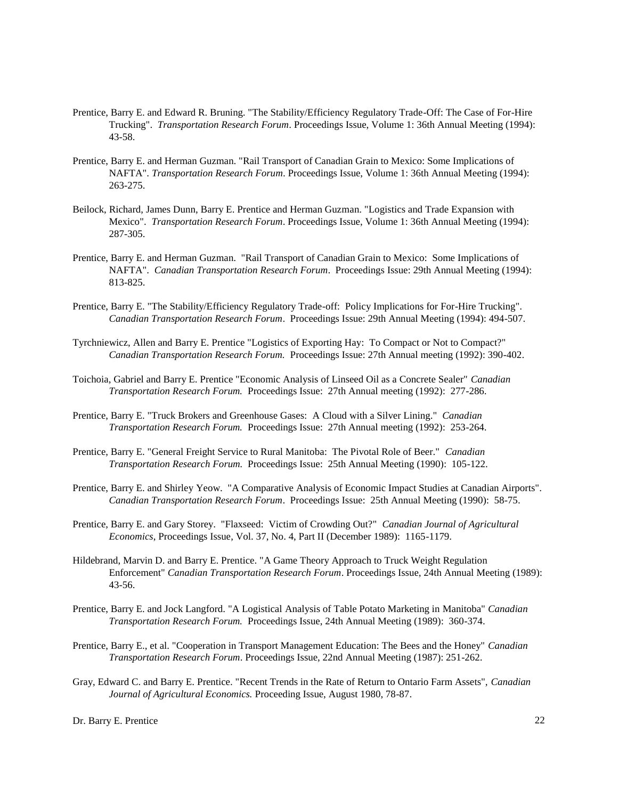- Prentice, Barry E. and Edward R. Bruning. "The Stability/Efficiency Regulatory Trade-Off: The Case of For-Hire Trucking". *Transportation Research Forum*. Proceedings Issue, Volume 1: 36th Annual Meeting (1994): 43-58.
- Prentice, Barry E. and Herman Guzman. "Rail Transport of Canadian Grain to Mexico: Some Implications of NAFTA". *Transportation Research Forum*. Proceedings Issue, Volume 1: 36th Annual Meeting (1994): 263-275.
- Beilock, Richard, James Dunn, Barry E. Prentice and Herman Guzman. "Logistics and Trade Expansion with Mexico". *Transportation Research Forum*. Proceedings Issue, Volume 1: 36th Annual Meeting (1994): 287-305.
- Prentice, Barry E. and Herman Guzman. "Rail Transport of Canadian Grain to Mexico: Some Implications of NAFTA". *Canadian Transportation Research Forum*. Proceedings Issue: 29th Annual Meeting (1994): 813-825.
- Prentice, Barry E. "The Stability/Efficiency Regulatory Trade-off: Policy Implications for For-Hire Trucking". *Canadian Transportation Research Forum*. Proceedings Issue: 29th Annual Meeting (1994): 494-507.
- Tyrchniewicz, Allen and Barry E. Prentice "Logistics of Exporting Hay: To Compact or Not to Compact?" *Canadian Transportation Research Forum.* Proceedings Issue: 27th Annual meeting (1992): 390-402.
- Toichoia, Gabriel and Barry E. Prentice "Economic Analysis of Linseed Oil as a Concrete Sealer" *Canadian Transportation Research Forum.* Proceedings Issue: 27th Annual meeting (1992): 277-286.
- Prentice, Barry E. "Truck Brokers and Greenhouse Gases: A Cloud with a Silver Lining." *Canadian Transportation Research Forum.* Proceedings Issue: 27th Annual meeting (1992): 253-264.
- Prentice, Barry E. "General Freight Service to Rural Manitoba: The Pivotal Role of Beer." *Canadian Transportation Research Forum.* Proceedings Issue: 25th Annual Meeting (1990): 105-122.
- Prentice, Barry E. and Shirley Yeow. "A Comparative Analysis of Economic Impact Studies at Canadian Airports". *Canadian Transportation Research Forum*. Proceedings Issue: 25th Annual Meeting (1990): 58-75.
- Prentice, Barry E. and Gary Storey. "Flaxseed: Victim of Crowding Out?" *Canadian Journal of Agricultural Economics*, Proceedings Issue, Vol. 37, No. 4, Part II (December 1989): 1165-1179.
- Hildebrand, Marvin D. and Barry E. Prentice. "A Game Theory Approach to Truck Weight Regulation Enforcement" *Canadian Transportation Research Forum*. Proceedings Issue, 24th Annual Meeting (1989): 43-56.
- Prentice, Barry E. and Jock Langford. "A Logistical Analysis of Table Potato Marketing in Manitoba" *Canadian Transportation Research Forum.* Proceedings Issue, 24th Annual Meeting (1989): 360-374.
- Prentice, Barry E., et al. "Cooperation in Transport Management Education: The Bees and the Honey" *Canadian Transportation Research Forum*. Proceedings Issue, 22nd Annual Meeting (1987): 251-262.
- Gray, Edward C. and Barry E. Prentice. "Recent Trends in the Rate of Return to Ontario Farm Assets", *Canadian Journal of Agricultural Economics.* Proceeding Issue, August 1980, 78-87.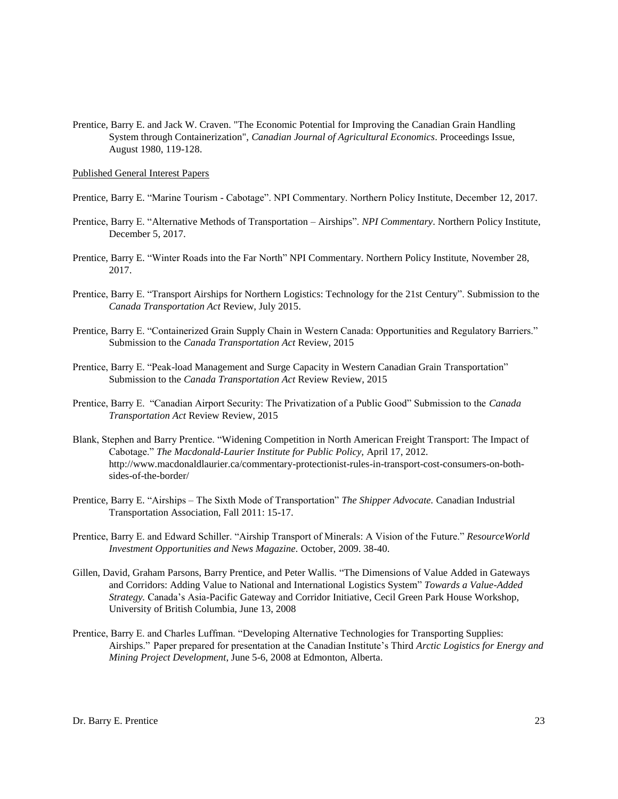Prentice, Barry E. and Jack W. Craven. "The Economic Potential for Improving the Canadian Grain Handling System through Containerization", *Canadian Journal of Agricultural Economics*. Proceedings Issue, August 1980, 119-128.

Published General Interest Papers

- Prentice, Barry E. "Marine Tourism Cabotage". NPI Commentary. Northern Policy Institute, December 12, 2017.
- Prentice, Barry E. "Alternative Methods of Transportation Airships". *NPI Commentary*. Northern Policy Institute, December 5, 2017.
- Prentice, Barry E. "Winter Roads into the Far North" NPI Commentary. Northern Policy Institute, November 28, 2017.
- Prentice, Barry E. "Transport Airships for Northern Logistics: Technology for the 21st Century". Submission to the *Canada Transportation Act* Review, July 2015.
- Prentice, Barry E. "Containerized Grain Supply Chain in Western Canada: Opportunities and Regulatory Barriers." Submission to the *Canada Transportation Act* Review, 2015
- Prentice, Barry E. "Peak-load Management and Surge Capacity in Western Canadian Grain Transportation" Submission to the *Canada Transportation Act* Review Review, 2015
- Prentice, Barry E. "Canadian Airport Security: The Privatization of a Public Good" Submission to the *Canada Transportation Act* Review Review, 2015
- Blank, Stephen and Barry Prentice. "Widening Competition in North American Freight Transport: The Impact of Cabotage." *The Macdonald-Laurier Institute for Public Policy,* April 17, 2012*.*  http://www.macdonaldlaurier.ca/commentary-protectionist-rules-in-transport-cost-consumers-on-bothsides-of-the-border/
- Prentice, Barry E. "Airships The Sixth Mode of Transportation" *The Shipper Advocate.* Canadian Industrial Transportation Association, Fall 2011: 15-17.
- Prentice, Barry E. and Edward Schiller. "Airship Transport of Minerals: A Vision of the Future." *ResourceWorld Investment Opportunities and News Magazine.* October, 2009. 38-40.
- Gillen, David, Graham Parsons, Barry Prentice, and Peter Wallis. "The Dimensions of Value Added in Gateways and Corridors: Adding Value to National and International Logistics System" *Towards a Value-Added Strategy.* Canada's Asia-Pacific Gateway and Corridor Initiative, Cecil Green Park House Workshop, University of British Columbia, June 13, 2008
- Prentice, Barry E. and Charles Luffman. "Developing Alternative Technologies for Transporting Supplies: Airships." Paper prepared for presentation at the Canadian Institute's Third *Arctic Logistics for Energy and Mining Project Development*, June 5-6, 2008 at Edmonton, Alberta.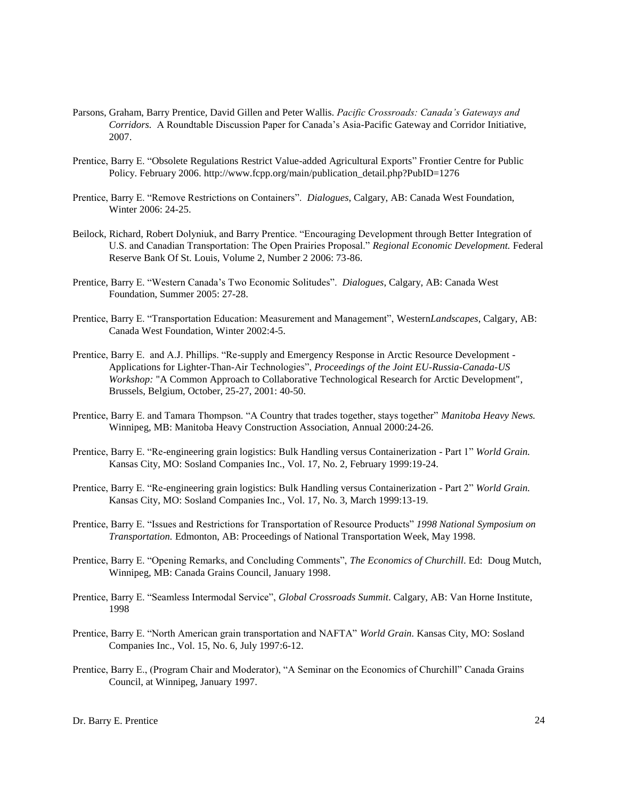- Parsons, Graham, Barry Prentice, David Gillen and Peter Wallis. *Pacific Crossroads: Canada's Gateways and Corridors.* A Roundtable Discussion Paper for Canada's Asia-Pacific Gateway and Corridor Initiative, 2007.
- Prentice, Barry E. "Obsolete Regulations Restrict Value-added Agricultural Exports" Frontier Centre for Public Policy. February 2006. http://www.fcpp.org/main/publication\_detail.php?PubID=1276
- Prentice, Barry E. "Remove Restrictions on Containers". *Dialogues*, Calgary, AB: Canada West Foundation, Winter 2006: 24-25.
- Beilock, Richard, Robert Dolyniuk, and Barry Prentice. "Encouraging Development through Better Integration of U.S. and Canadian Transportation: The Open Prairies Proposal." *Regional Economic Development.* Federal Reserve Bank Of St. Louis, Volume 2, Number 2 2006: 73-86.
- Prentice, Barry E. "Western Canada's Two Economic Solitudes". *Dialogues*, Calgary, AB: Canada West Foundation, Summer 2005: 27-28.
- Prentice, Barry E. "Transportation Education: Measurement and Management", Western*Landscapes*, Calgary, AB: Canada West Foundation, Winter 2002:4-5.
- Prentice, Barry E. and A.J. Phillips. "Re-supply and Emergency Response in Arctic Resource Development Applications for Lighter-Than-Air Technologies", *Proceedings of the Joint EU-Russia-Canada-US Workshop:* "A Common Approach to Collaborative Technological Research for Arctic Development", Brussels, Belgium, October, 25-27, 2001: 40-50.
- Prentice, Barry E. and Tamara Thompson. "A Country that trades together, stays together" *Manitoba Heavy News.* Winnipeg, MB: Manitoba Heavy Construction Association, Annual 2000:24-26.
- Prentice, Barry E. "Re-engineering grain logistics: Bulk Handling versus Containerization Part 1" *World Grain.*  Kansas City, MO: Sosland Companies Inc., Vol. 17, No. 2, February 1999:19-24.
- Prentice, Barry E. "Re-engineering grain logistics: Bulk Handling versus Containerization Part 2" *World Grain.*  Kansas City, MO: Sosland Companies Inc., Vol. 17, No. 3, March 1999:13-19.
- Prentice, Barry E. "Issues and Restrictions for Transportation of Resource Products" *1998 National Symposium on Transportation.* Edmonton, AB: Proceedings of National Transportation Week, May 1998.
- Prentice, Barry E. "Opening Remarks, and Concluding Comments", *The Economics of Churchill*. Ed: Doug Mutch, Winnipeg, MB: Canada Grains Council, January 1998.
- Prentice, Barry E. "Seamless Intermodal Service", *Global Crossroads Summit*. Calgary, AB: Van Horne Institute, 1998
- Prentice, Barry E. "North American grain transportation and NAFTA" *World Grain.* Kansas City, MO: Sosland Companies Inc., Vol. 15, No. 6, July 1997:6-12.
- Prentice, Barry E., (Program Chair and Moderator), "A Seminar on the Economics of Churchill" Canada Grains Council, at Winnipeg, January 1997.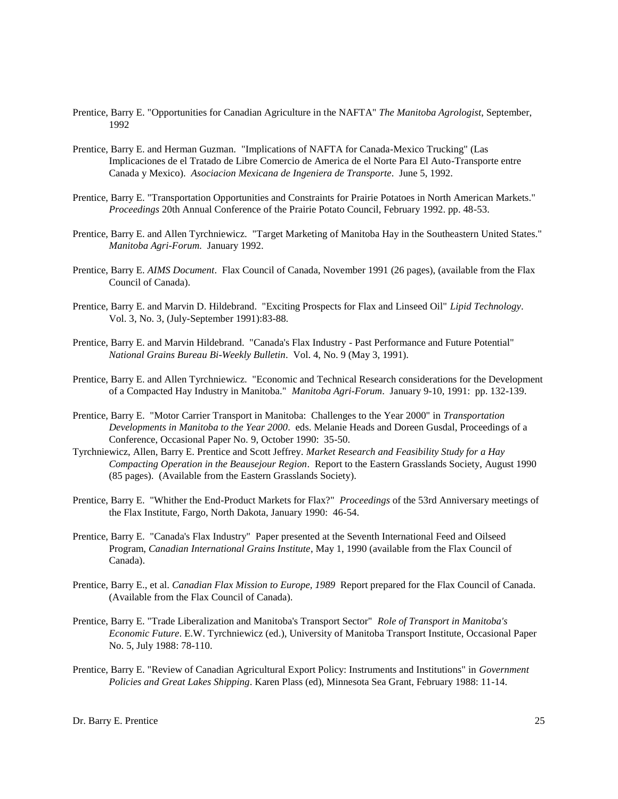- Prentice, Barry E. "Opportunities for Canadian Agriculture in the NAFTA" *The Manitoba Agrologist*, September, 1992
- Prentice, Barry E. and Herman Guzman. "Implications of NAFTA for Canada-Mexico Trucking" (Las Implicaciones de el Tratado de Libre Comercio de America de el Norte Para El Auto-Transporte entre Canada y Mexico). *Asociacion Mexicana de Ingeniera de Transporte*. June 5, 1992.
- Prentice, Barry E. "Transportation Opportunities and Constraints for Prairie Potatoes in North American Markets." *Proceedings* 20th Annual Conference of the Prairie Potato Council, February 1992. pp. 48-53.
- Prentice, Barry E. and Allen Tyrchniewicz. "Target Marketing of Manitoba Hay in the Southeastern United States." *Manitoba Agri-Forum.* January 1992.
- Prentice, Barry E. *AIMS Document*. Flax Council of Canada, November 1991 (26 pages), (available from the Flax Council of Canada).
- Prentice, Barry E. and Marvin D. Hildebrand. "Exciting Prospects for Flax and Linseed Oil" *Lipid Technology*. Vol. 3, No. 3, (July-September 1991):83-88.
- Prentice, Barry E. and Marvin Hildebrand. "Canada's Flax Industry Past Performance and Future Potential" *National Grains Bureau Bi-Weekly Bulletin*. Vol. 4, No. 9 (May 3, 1991).
- Prentice, Barry E. and Allen Tyrchniewicz. "Economic and Technical Research considerations for the Development of a Compacted Hay Industry in Manitoba." *Manitoba Agri-Forum*. January 9-10, 1991: pp. 132-139.
- Prentice, Barry E. "Motor Carrier Transport in Manitoba: Challenges to the Year 2000" in *Transportation Developments in Manitoba to the Year 2000*. eds. Melanie Heads and Doreen Gusdal, Proceedings of a Conference, Occasional Paper No. 9, October 1990: 35-50.
- Tyrchniewicz, Allen, Barry E. Prentice and Scott Jeffrey. *Market Research and Feasibility Study for a Hay Compacting Operation in the Beausejour Region*. Report to the Eastern Grasslands Society, August 1990 (85 pages). (Available from the Eastern Grasslands Society).
- Prentice, Barry E. "Whither the End-Product Markets for Flax?" *Proceedings* of the 53rd Anniversary meetings of the Flax Institute, Fargo, North Dakota, January 1990: 46-54.
- Prentice, Barry E. "Canada's Flax Industry" Paper presented at the Seventh International Feed and Oilseed Program, *Canadian International Grains Institute*, May 1, 1990 (available from the Flax Council of Canada).
- Prentice, Barry E., et al. *Canadian Flax Mission to Europe, 1989* Report prepared for the Flax Council of Canada. (Available from the Flax Council of Canada).
- Prentice, Barry E. "Trade Liberalization and Manitoba's Transport Sector" *Role of Transport in Manitoba's Economic Future*. E.W. Tyrchniewicz (ed.), University of Manitoba Transport Institute, Occasional Paper No. 5, July 1988: 78-110.
- Prentice, Barry E. "Review of Canadian Agricultural Export Policy: Instruments and Institutions" in *Government Policies and Great Lakes Shipping*. Karen Plass (ed), Minnesota Sea Grant, February 1988: 11-14.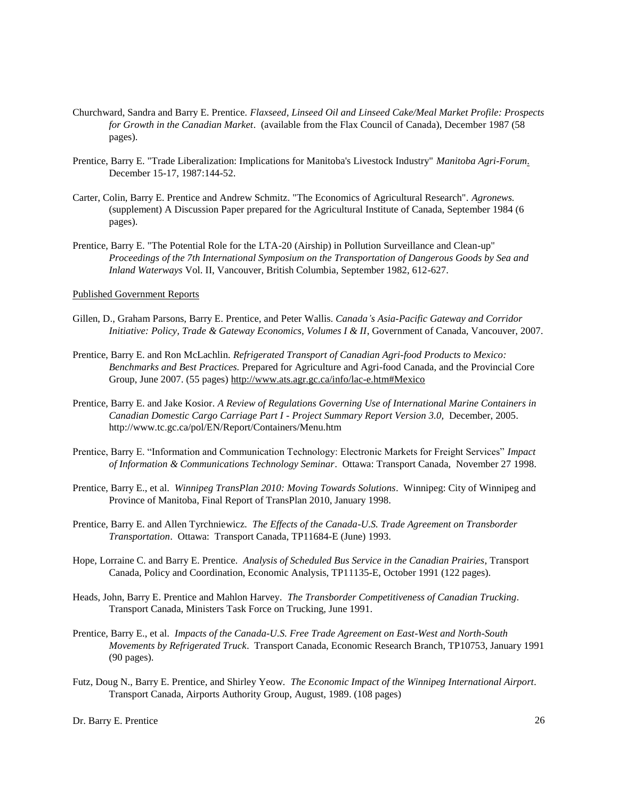- Churchward, Sandra and Barry E. Prentice. *Flaxseed, Linseed Oil and Linseed Cake/Meal Market Profile: Prospects for Growth in the Canadian Market*. (available from the Flax Council of Canada), December 1987 (58 pages).
- Prentice, Barry E. "Trade Liberalization: Implications for Manitoba's Livestock Industry" *Manitoba Agri-Forum*. December 15-17, 1987:144-52.
- Carter, Colin, Barry E. Prentice and Andrew Schmitz. "The Economics of Agricultural Research". *Agronews.* (supplement) A Discussion Paper prepared for the Agricultural Institute of Canada, September 1984 (6 pages).
- Prentice, Barry E. "The Potential Role for the LTA-20 (Airship) in Pollution Surveillance and Clean-up" *Proceedings of the 7th International Symposium on the Transportation of Dangerous Goods by Sea and Inland Waterways* Vol. II, Vancouver, British Columbia, September 1982, 612-627.

Published Government Reports

- Gillen, D., Graham Parsons, Barry E. Prentice, and Peter Wallis. *Canada's Asia-Pacific Gateway and Corridor Initiative: Policy, Trade & Gateway Economics, Volumes I & II*, Government of Canada, Vancouver, 2007.
- Prentice, Barry E. and Ron McLachlin. *Refrigerated Transport of Canadian Agri-food Products to Mexico: Benchmarks and Best Practices.* Prepared for Agriculture and Agri-food Canada, and the Provincial Core Group, June 2007. (55 pages)<http://www.ats.agr.gc.ca/info/lac-e.htm#Mexico>
- Prentice, Barry E. and Jake Kosior. *A Review of Regulations Governing Use of International Marine Containers in Canadian Domestic Cargo Carriage Part I - Project Summary Report Version 3.0,* December, 2005. http://www.tc.gc.ca/pol/EN/Report/Containers/Menu.htm
- Prentice, Barry E. "Information and Communication Technology: Electronic Markets for Freight Services" *Impact of Information & Communications Technology Seminar*. Ottawa: Transport Canada, November 27 1998.
- Prentice, Barry E., et al. *Winnipeg TransPlan 2010: Moving Towards Solutions*. Winnipeg: City of Winnipeg and Province of Manitoba, Final Report of TransPlan 2010, January 1998.
- Prentice, Barry E. and Allen Tyrchniewicz. *The Effects of the Canada-U.S. Trade Agreement on Transborder Transportation*. Ottawa: Transport Canada, TP11684-E (June) 1993.
- Hope, Lorraine C. and Barry E. Prentice. *Analysis of Scheduled Bus Service in the Canadian Prairies*, Transport Canada, Policy and Coordination, Economic Analysis, TP11135-E, October 1991 (122 pages).
- Heads, John, Barry E. Prentice and Mahlon Harvey. *The Transborder Competitiveness of Canadian Trucking*. Transport Canada, Ministers Task Force on Trucking, June 1991.
- Prentice, Barry E., et al. *Impacts of the Canada-U.S. Free Trade Agreement on East-West and North-South Movements by Refrigerated Truck*. Transport Canada, Economic Research Branch, TP10753, January 1991 (90 pages).
- Futz, Doug N., Barry E. Prentice, and Shirley Yeow. *The Economic Impact of the Winnipeg International Airport*. Transport Canada, Airports Authority Group, August, 1989. (108 pages)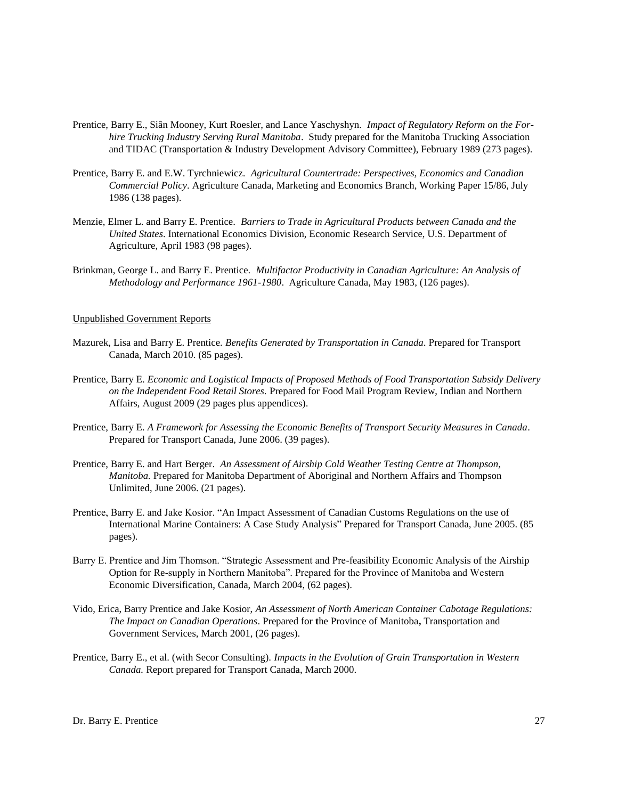- Prentice, Barry E., Siân Mooney, Kurt Roesler, and Lance Yaschyshyn. *Impact of Regulatory Reform on the Forhire Trucking Industry Serving Rural Manitoba*. Study prepared for the Manitoba Trucking Association and TIDAC (Transportation & Industry Development Advisory Committee), February 1989 (273 pages).
- Prentice, Barry E. and E.W. Tyrchniewicz. *Agricultural Countertrade: Perspectives, Economics and Canadian Commercial Policy*. Agriculture Canada, Marketing and Economics Branch, Working Paper 15/86, July 1986 (138 pages).
- Menzie, Elmer L. and Barry E. Prentice. *Barriers to Trade in Agricultural Products between Canada and the United States*. International Economics Division, Economic Research Service, U.S. Department of Agriculture, April 1983 (98 pages).
- Brinkman, George L. and Barry E. Prentice. *Multifactor Productivity in Canadian Agriculture: An Analysis of Methodology and Performance 1961-1980*. Agriculture Canada, May 1983, (126 pages).

# Unpublished Government Reports

- Mazurek, Lisa and Barry E. Prentice. *Benefits Generated by Transportation in Canada.* Prepared for Transport Canada, March 2010. (85 pages).
- Prentice, Barry E. *Economic and Logistical Impacts of Proposed Methods of Food Transportation Subsidy Delivery on the Independent Food Retail Stores.* Prepared for Food Mail Program Review, Indian and Northern Affairs, August 2009 (29 pages plus appendices).
- Prentice, Barry E. *A Framework for Assessing the Economic Benefits of Transport Security Measures in Canada*. Prepared for Transport Canada, June 2006. (39 pages).
- Prentice, Barry E. and Hart Berger. *An Assessment of Airship Cold Weather Testing Centre at Thompson, Manitoba.* Prepared for Manitoba Department of Aboriginal and Northern Affairs and Thompson Unlimited, June 2006. (21 pages).
- Prentice, Barry E. and Jake Kosior. "An Impact Assessment of Canadian Customs Regulations on the use of International Marine Containers: A Case Study Analysis" Prepared for Transport Canada, June 2005. (85 pages).
- Barry E. Prentice and Jim Thomson. "Strategic Assessment and Pre-feasibility Economic Analysis of the Airship Option for Re-supply in Northern Manitoba". Prepared for the Province of Manitoba and Western Economic Diversification, Canada, March 2004, (62 pages).
- Vido, Erica, Barry Prentice and Jake Kosior, *An Assessment of North American Container Cabotage Regulations: The Impact on Canadian Operations*. Prepared for **t**he Province of Manitoba**,** Transportation and Government Services, March 2001, (26 pages).
- Prentice, Barry E., et al. (with Secor Consulting). *Impacts in the Evolution of Grain Transportation in Western Canada.* Report prepared for Transport Canada, March 2000.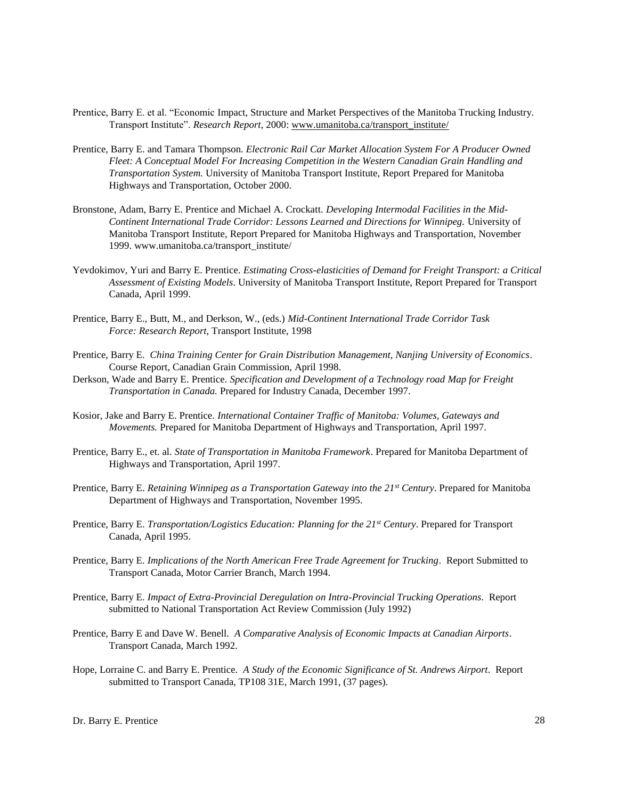- Prentice, Barry E. et al. "Economic Impact, Structure and Market Perspectives of the Manitoba Trucking Industry. Transport Institute". *Research Report*, 2000: [www.umanitoba.ca/transport\\_institute/](http://www.umanitoba.ca/)
- Prentice, Barry E. and Tamara Thompson. *Electronic Rail Car Market Allocation System For A Producer Owned Fleet: A Conceptual Model For Increasing Competition in the Western Canadian Grain Handling and Transportation System.* University of Manitoba Transport Institute, Report Prepared for Manitoba Highways and Transportation, October 2000.
- Bronstone, Adam, Barry E. Prentice and Michael A. Crockatt. *Developing Intermodal Facilities in the Mid-Continent International Trade Corridor: Lessons Learned and Directions for Winnipeg.* University of Manitoba Transport Institute, Report Prepared for Manitoba Highways and Transportation, November 1999. www.umanitoba.ca/transport\_institute/
- Yevdokimov, Yuri and Barry E. Prentice*. Estimating Cross-elasticities of Demand for Freight Transport: a Critical Assessment of Existing Models*. University of Manitoba Transport Institute, Report Prepared for Transport Canada, April 1999.
- Prentice, Barry E., Butt, M., and Derkson, W., (eds.) *Mid-Continent International Trade Corridor Task Force: Research Report,* Transport Institute, 1998
- Prentice, Barry E. *China Training Center for Grain Distribution Management, Nanjing University of Economics*. Course Report, Canadian Grain Commission, April 1998.
- Derkson, Wade and Barry E. Prentice. *Specification and Development of a Technology road Map for Freight Transportation in Canada.* Prepared for Industry Canada, December 1997.
- Kosior, Jake and Barry E. Prentice. *International Container Traffic of Manitoba: Volumes, Gateways and Movements.* Prepared for Manitoba Department of Highways and Transportation, April 1997.
- Prentice, Barry E., et. al. *State of Transportation in Manitoba Framework*. Prepared for Manitoba Department of Highways and Transportation, April 1997.
- Prentice, Barry E. *Retaining Winnipeg as a Transportation Gateway into the 21st Century*. Prepared for Manitoba Department of Highways and Transportation, November 1995.
- Prentice, Barry E. *Transportation/Logistics Education: Planning for the 21st Century*. Prepared for Transport Canada, April 1995.
- Prentice, Barry E. *Implications of the North American Free Trade Agreement for Trucking*. Report Submitted to Transport Canada, Motor Carrier Branch, March 1994.
- Prentice, Barry E. *Impact of Extra-Provincial Deregulation on Intra-Provincial Trucking Operations*. Report submitted to National Transportation Act Review Commission (July 1992)
- Prentice, Barry E and Dave W. Benell. *A Comparative Analysis of Economic Impacts at Canadian Airports*. Transport Canada, March 1992.
- Hope, Lorraine C. and Barry E. Prentice. *A Study of the Economic Significance of St. Andrews Airport*. Report submitted to Transport Canada, TP108 31E, March 1991, (37 pages).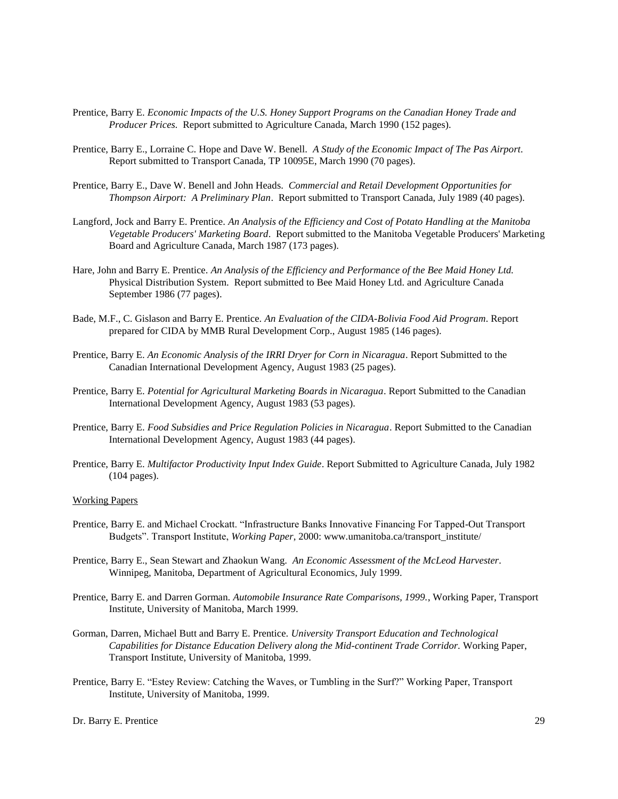- Prentice, Barry E. *Economic Impacts of the U.S. Honey Support Programs on the Canadian Honey Trade and Producer Prices.* Report submitted to Agriculture Canada, March 1990 (152 pages).
- Prentice, Barry E., Lorraine C. Hope and Dave W. Benell. *A Study of the Economic Impact of The Pas Airport*. Report submitted to Transport Canada, TP 10095E, March 1990 (70 pages).
- Prentice, Barry E., Dave W. Benell and John Heads. *Commercial and Retail Development Opportunities for Thompson Airport: A Preliminary Plan*. Report submitted to Transport Canada, July 1989 (40 pages).
- Langford, Jock and Barry E. Prentice. *An Analysis of the Efficiency and Cost of Potato Handling at the Manitoba Vegetable Producers' Marketing Board*. Report submitted to the Manitoba Vegetable Producers' Marketing Board and Agriculture Canada, March 1987 (173 pages).
- Hare, John and Barry E. Prentice. *An Analysis of the Efficiency and Performance of the Bee Maid Honey Ltd.* Physical Distribution System. Report submitted to Bee Maid Honey Ltd. and Agriculture Canada September 1986 (77 pages).
- Bade, M.F., C. Gislason and Barry E. Prentice. *An Evaluation of the CIDA-Bolivia Food Aid Program*. Report prepared for CIDA by MMB Rural Development Corp., August 1985 (146 pages).
- Prentice, Barry E. *An Economic Analysis of the IRRI Dryer for Corn in Nicaragua*. Report Submitted to the Canadian International Development Agency, August 1983 (25 pages).
- Prentice, Barry E. *Potential for Agricultural Marketing Boards in Nicaragua*. Report Submitted to the Canadian International Development Agency, August 1983 (53 pages).
- Prentice, Barry E. *Food Subsidies and Price Regulation Policies in Nicaragua*. Report Submitted to the Canadian International Development Agency, August 1983 (44 pages).
- Prentice, Barry E. *Multifactor Productivity Input Index Guide*. Report Submitted to Agriculture Canada, July 1982 (104 pages).

#### Working Papers

- Prentice, Barry E. and Michael Crockatt. "Infrastructure Banks Innovative Financing For Tapped-Out Transport Budgets". Transport Institute, *Working Paper*, 2000: www.umanitoba.ca/transport\_institute/
- Prentice, Barry E., Sean Stewart and Zhaokun Wang. *An Economic Assessment of the McLeod Harvester*. Winnipeg, Manitoba, Department of Agricultural Economics, July 1999.
- Prentice, Barry E. and Darren Gorman. *Automobile Insurance Rate Comparisons, 1999.*, Working Paper, Transport Institute, University of Manitoba, March 1999.
- Gorman, Darren, Michael Butt and Barry E. Prentice. *University Transport Education and Technological Capabilities for Distance Education Delivery along the Mid-continent Trade Corridor.* Working Paper, Transport Institute, University of Manitoba, 1999.
- Prentice, Barry E. "Estey Review: Catching the Waves, or Tumbling in the Surf?" Working Paper, Transport Institute, University of Manitoba, 1999.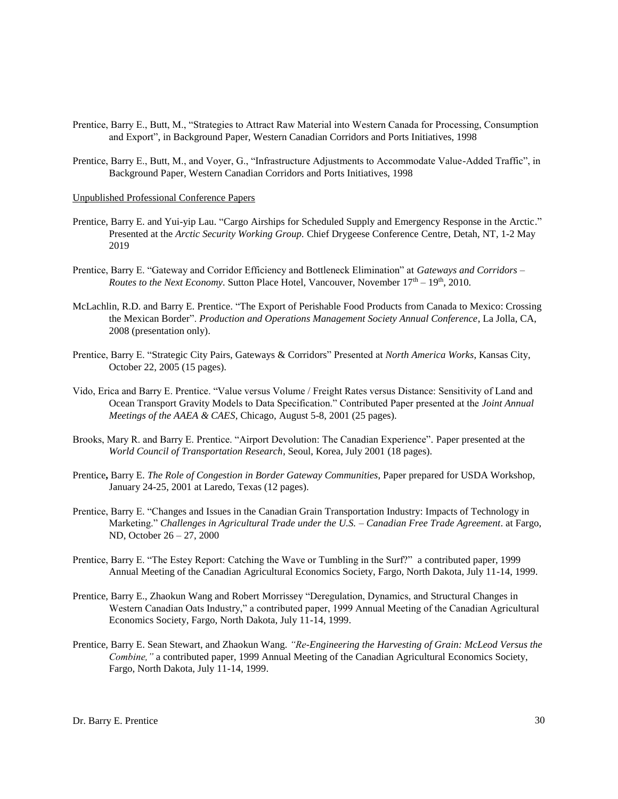- Prentice, Barry E., Butt, M., "Strategies to Attract Raw Material into Western Canada for Processing, Consumption and Export", in Background Paper, Western Canadian Corridors and Ports Initiatives, 1998
- Prentice, Barry E., Butt, M., and Voyer, G., "Infrastructure Adjustments to Accommodate Value-Added Traffic", in Background Paper, Western Canadian Corridors and Ports Initiatives, 1998

#### Unpublished Professional Conference Papers

- Prentice, Barry E. and Yui-yip Lau. "Cargo Airships for Scheduled Supply and Emergency Response in the Arctic." Presented at the *Arctic Security Working Group.* Chief Drygeese Conference Centre, Detah, NT, 1-2 May 2019
- Prentice, Barry E. "Gateway and Corridor Efficiency and Bottleneck Elimination" at *Gateways and Corridors – Routes to the Next Economy.* Sutton Place Hotel, Vancouver, November  $17<sup>th</sup> - 19<sup>th</sup>$ , 2010.
- McLachlin, R.D. and Barry E. Prentice. "The Export of Perishable Food Products from Canada to Mexico: Crossing the Mexican Border". *Production and Operations Management Society Annual Conference*, La Jolla, CA, 2008 (presentation only).
- Prentice, Barry E. "Strategic City Pairs, Gateways & Corridors" Presented at *North America Works*, Kansas City, October 22, 2005 (15 pages).
- Vido, Erica and Barry E. Prentice. "Value versus Volume / Freight Rates versus Distance: Sensitivity of Land and Ocean Transport Gravity Models to Data Specification." Contributed Paper presented at the *Joint Annual Meetings of the AAEA & CAES*, Chicago, August 5-8, 2001 (25 pages).
- Brooks, Mary R. and Barry E. Prentice. "Airport Devolution: The Canadian Experience"*.* Paper presented at the *World Council of Transportation Research*, Seoul, Korea, July 2001 (18 pages).
- Prentice**,** Barry E. *The Role of Congestion in Border Gateway Communities*, Paper prepared for USDA Workshop, January 24-25, 2001 at Laredo, Texas (12 pages).
- Prentice, Barry E. "Changes and Issues in the Canadian Grain Transportation Industry: Impacts of Technology in Marketing." *Challenges in Agricultural Trade under the U.S. – Canadian Free Trade Agreement*. at Fargo, ND, October 26 – 27, 2000
- Prentice, Barry E. "The Estey Report: Catching the Wave or Tumbling in the Surf?" a contributed paper, 1999 Annual Meeting of the Canadian Agricultural Economics Society, Fargo, North Dakota, July 11-14, 1999.
- Prentice, Barry E., Zhaokun Wang and Robert Morrissey "Deregulation, Dynamics, and Structural Changes in Western Canadian Oats Industry," a contributed paper, 1999 Annual Meeting of the Canadian Agricultural Economics Society, Fargo, North Dakota, July 11-14, 1999.
- Prentice, Barry E. Sean Stewart, and Zhaokun Wang. *"Re-Engineering the Harvesting of Grain: McLeod Versus the Combine,"* a contributed paper, 1999 Annual Meeting of the Canadian Agricultural Economics Society, Fargo, North Dakota, July 11-14, 1999.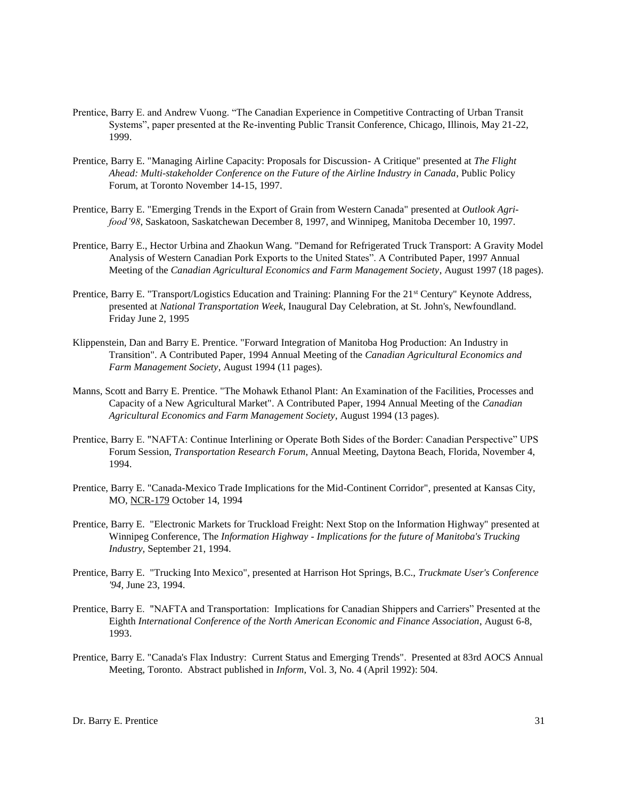- Prentice, Barry E. and Andrew Vuong. "The Canadian Experience in Competitive Contracting of Urban Transit Systems", paper presented at the Re-inventing Public Transit Conference, Chicago, Illinois, May 21-22, 1999.
- Prentice, Barry E. "Managing Airline Capacity: Proposals for Discussion- A Critique" presented at *The Flight Ahead: Multi-stakeholder Conference on the Future of the Airline Industry in Canada*, Public Policy Forum, at Toronto November 14-15, 1997.
- Prentice, Barry E. "Emerging Trends in the Export of Grain from Western Canada" presented at *Outlook Agrifood'98*, Saskatoon, Saskatchewan December 8, 1997, and Winnipeg, Manitoba December 10, 1997.
- Prentice, Barry E., Hector Urbina and Zhaokun Wang. "Demand for Refrigerated Truck Transport: A Gravity Model Analysis of Western Canadian Pork Exports to the United States". A Contributed Paper, 1997 Annual Meeting of the *Canadian Agricultural Economics and Farm Management Society*, August 1997 (18 pages).
- Prentice, Barry E. "Transport/Logistics Education and Training: Planning For the 21<sup>st</sup> Century" Keynote Address, presented at *National Transportation Week*, Inaugural Day Celebration, at St. John's, Newfoundland. Friday June 2, 1995
- Klippenstein, Dan and Barry E. Prentice. "Forward Integration of Manitoba Hog Production: An Industry in Transition". A Contributed Paper, 1994 Annual Meeting of the *Canadian Agricultural Economics and Farm Management Society*, August 1994 (11 pages).
- Manns, Scott and Barry E. Prentice. "The Mohawk Ethanol Plant: An Examination of the Facilities, Processes and Capacity of a New Agricultural Market". A Contributed Paper, 1994 Annual Meeting of the *Canadian Agricultural Economics and Farm Management Society*, August 1994 (13 pages).
- Prentice, Barry E. "NAFTA: Continue Interlining or Operate Both Sides of the Border: Canadian Perspective" UPS Forum Session, *Transportation Research Forum*, Annual Meeting, Daytona Beach, Florida, November 4, 1994.
- Prentice, Barry E. "Canada-Mexico Trade Implications for the Mid-Continent Corridor", presented at Kansas City, MO, NCR-179 October 14, 1994
- Prentice, Barry E. "Electronic Markets for Truckload Freight: Next Stop on the Information Highway" presented at Winnipeg Conference, The *Information Highway - Implications for the future of Manitoba's Trucking Industry,* September 21, 1994.
- Prentice, Barry E. "Trucking Into Mexico", presented at Harrison Hot Springs, B.C., *Truckmate User's Conference '94,* June 23, 1994.
- Prentice, Barry E. "NAFTA and Transportation: Implications for Canadian Shippers and Carriers" Presented at the Eighth *International Conference of the North American Economic and Finance Association*, August 6-8, 1993.
- Prentice, Barry E. "Canada's Flax Industry: Current Status and Emerging Trends". Presented at 83rd AOCS Annual Meeting, Toronto. Abstract published in *Inform*, Vol. 3, No. 4 (April 1992): 504.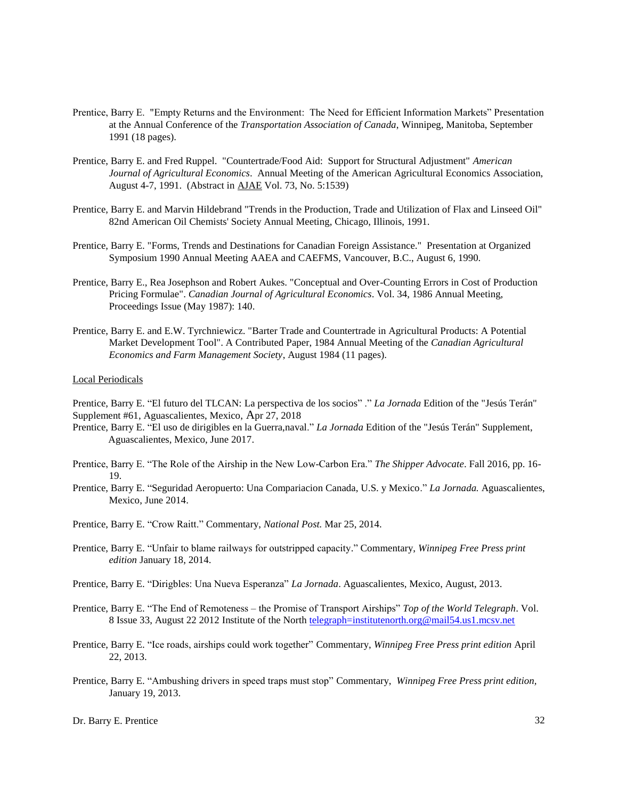- Prentice, Barry E. "Empty Returns and the Environment: The Need for Efficient Information Markets" Presentation at the Annual Conference of the *Transportation Association of Canada*, Winnipeg, Manitoba, September 1991 (18 pages).
- Prentice, Barry E. and Fred Ruppel. "Countertrade/Food Aid: Support for Structural Adjustment" *American Journal of Agricultural Economics*. Annual Meeting of the American Agricultural Economics Association, August 4-7, 1991. (Abstract in AJAE Vol. 73, No. 5:1539)
- Prentice, Barry E. and Marvin Hildebrand "Trends in the Production, Trade and Utilization of Flax and Linseed Oil" 82nd American Oil Chemists' Society Annual Meeting, Chicago, Illinois, 1991.
- Prentice, Barry E. "Forms, Trends and Destinations for Canadian Foreign Assistance." Presentation at Organized Symposium 1990 Annual Meeting AAEA and CAEFMS, Vancouver, B.C., August 6, 1990.
- Prentice, Barry E., Rea Josephson and Robert Aukes. "Conceptual and Over-Counting Errors in Cost of Production Pricing Formulae". *Canadian Journal of Agricultural Economics*. Vol. 34, 1986 Annual Meeting, Proceedings Issue (May 1987): 140.
- Prentice, Barry E. and E.W. Tyrchniewicz. "Barter Trade and Countertrade in Agricultural Products: A Potential Market Development Tool". A Contributed Paper, 1984 Annual Meeting of the *Canadian Agricultural Economics and Farm Management Society*, August 1984 (11 pages).

# Local Periodicals

Prentice, Barry E. "El futuro del TLCAN: La perspectiva de los socios" ." *La Jornada* Edition of the "Jesús Terán" Supplement #61, Aguascalientes, Mexico, Apr 27, 2018

- Prentice, Barry E. "El uso de dirigibles en la Guerra,naval." *La Jornada* Edition of the "Jesús Terán" Supplement, Aguascalientes, Mexico, June 2017.
- Prentice, Barry E. "The Role of the Airship in the New Low-Carbon Era." *The Shipper Advocate*. Fall 2016, pp. 16- 19.
- Prentice, Barry E. "Seguridad Aeropuerto: Una Compariacion Canada, U.S. y Mexico." *La Jornada.* Aguascalientes, Mexico, June 2014.
- Prentice, Barry E. "Crow Raitt." Commentary, *National Post.* Mar 25, 2014.
- Prentice, Barry E. "Unfair to blame railways for outstripped capacity." Commentary, *Winnipeg Free Press print edition* January 18, 2014.
- Prentice, Barry E. "Dirigbles: Una Nueva Esperanza" *La Jornada*. Aguascalientes, Mexico, August, 2013.
- Prentice, Barry E. "The End of Remoteness the Promise of Transport Airships" *Top of the World Telegraph*. Vol. 8 Issue 33, August 22 2012 Institute of the North [telegraph=institutenorth.org@mail54.us1.mcsv.net](mailto:telegraph=institutenorth.org@mail54.us1.mcsv.net)
- Prentice, Barry E. "Ice roads, airships could work together" Commentary, *Winnipeg Free Press print edition* April 22, 2013.
- Prentice, Barry E. "Ambushing drivers in speed traps must stop" Commentary, *Winnipeg Free Press print edition,* January 19, 2013.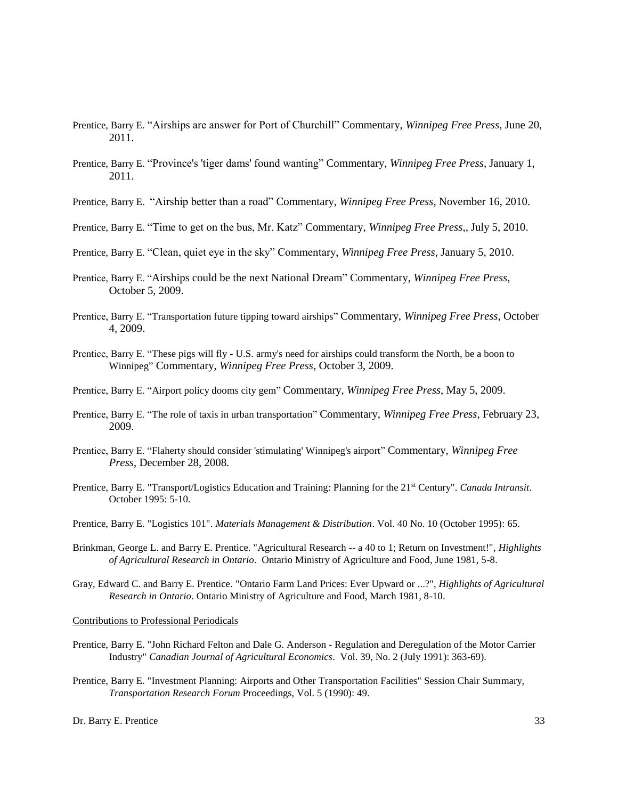- Prentice, Barry E. "Airships are answer for Port of Churchill" Commentary, *Winnipeg Free Press*, June 20, 2011.
- Prentice, Barry E. "Province's 'tiger dams' found wanting" Commentary, *Winnipeg Free Press*, January 1, 2011.
- Prentice, Barry E. "Airship better than a road" Commentary, *Winnipeg Free Press*, November 16, 2010.
- Prentice, Barry E. "Time to get on the bus, Mr. Katz" Commentary, *Winnipeg Free Press*,, July 5, 2010.
- Prentice, Barry E. "Clean, quiet eye in the sky" Commentary, *Winnipeg Free Press*, January 5, 2010.
- Prentice, Barry E. "Airships could be the next National Dream" Commentary, *Winnipeg Free Press*, October 5, 2009.
- Prentice, Barry E. "Transportation future tipping toward airships" Commentary, *Winnipeg Free Press*, October 4, 2009.
- Prentice, Barry E. "These pigs will fly U.S. army's need for airships could transform the North, be a boon to Winnipeg" Commentary, *Winnipeg Free Press*, October 3, 2009.
- Prentice, Barry E. "Airport policy dooms city gem" Commentary, *Winnipeg Free Press*, May 5, 2009.
- Prentice, Barry E. "The role of taxis in urban transportation" Commentary, *Winnipeg Free Press*, February 23, 2009.
- Prentice, Barry E. "Flaherty should consider 'stimulating' Winnipeg's airport" Commentary, *Winnipeg Free Press*, December 28, 2008.
- Prentice, Barry E. "Transport/Logistics Education and Training: Planning for the 21st Century". *Canada Intransit*. October 1995: 5-10.
- Prentice, Barry E. "Logistics 101". *Materials Management & Distribution*. Vol. 40 No. 10 (October 1995): 65.
- Brinkman, George L. and Barry E. Prentice. "Agricultural Research -- a 40 to 1; Return on Investment!", *Highlights of Agricultural Research in Ontario*. Ontario Ministry of Agriculture and Food, June 1981, 5-8.
- Gray, Edward C. and Barry E. Prentice. "Ontario Farm Land Prices: Ever Upward or ...?", *Highlights of Agricultural Research in Ontario*. Ontario Ministry of Agriculture and Food, March 1981, 8-10.

Contributions to Professional Periodicals

- Prentice, Barry E. "John Richard Felton and Dale G. Anderson Regulation and Deregulation of the Motor Carrier Industry" *Canadian Journal of Agricultural Economics*. Vol. 39, No. 2 (July 1991): 363-69).
- Prentice, Barry E. "Investment Planning: Airports and Other Transportation Facilities" Session Chair Summary, *Transportation Research Forum* Proceedings, Vol. 5 (1990): 49.